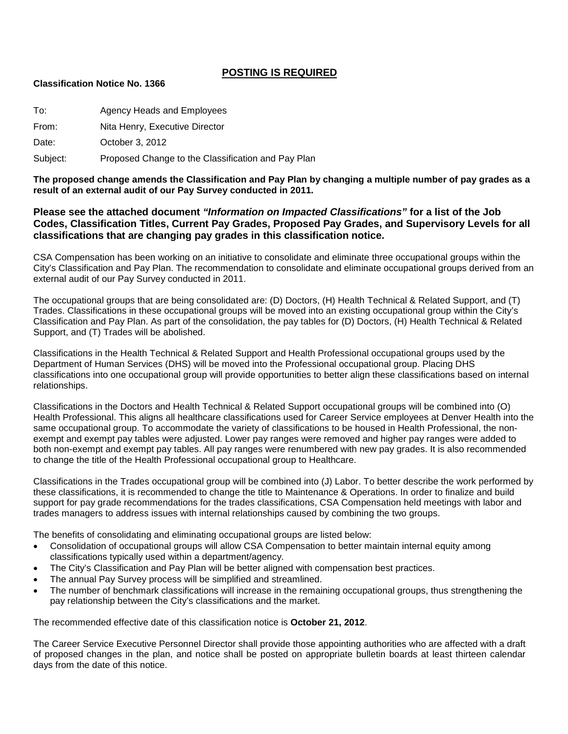## **POSTING IS REQUIRED**

#### **Classification Notice No. 1366**

| To:      | Agency Heads and Employees                         |
|----------|----------------------------------------------------|
| From:    | Nita Henry, Executive Director                     |
| Date:    | October 3, 2012                                    |
| Subject: | Proposed Change to the Classification and Pay Plan |

**The proposed change amends the Classification and Pay Plan by changing a multiple number of pay grades as a result of an external audit of our Pay Survey conducted in 2011.**

### **Please see the attached document** *"Information on Impacted Classifications"* **for a list of the Job Codes, Classification Titles, Current Pay Grades, Proposed Pay Grades, and Supervisory Levels for all classifications that are changing pay grades in this classification notice.**

CSA Compensation has been working on an initiative to consolidate and eliminate three occupational groups within the City's Classification and Pay Plan. The recommendation to consolidate and eliminate occupational groups derived from an external audit of our Pay Survey conducted in 2011.

The occupational groups that are being consolidated are: (D) Doctors, (H) Health Technical & Related Support, and (T) Trades. Classifications in these occupational groups will be moved into an existing occupational group within the City's Classification and Pay Plan. As part of the consolidation, the pay tables for (D) Doctors, (H) Health Technical & Related Support, and (T) Trades will be abolished.

Classifications in the Health Technical & Related Support and Health Professional occupational groups used by the Department of Human Services (DHS) will be moved into the Professional occupational group. Placing DHS classifications into one occupational group will provide opportunities to better align these classifications based on internal relationships.

Classifications in the Doctors and Health Technical & Related Support occupational groups will be combined into (O) Health Professional. This aligns all healthcare classifications used for Career Service employees at Denver Health into the same occupational group. To accommodate the variety of classifications to be housed in Health Professional, the nonexempt and exempt pay tables were adjusted. Lower pay ranges were removed and higher pay ranges were added to both non-exempt and exempt pay tables. All pay ranges were renumbered with new pay grades. It is also recommended to change the title of the Health Professional occupational group to Healthcare.

Classifications in the Trades occupational group will be combined into (J) Labor. To better describe the work performed by these classifications, it is recommended to change the title to Maintenance & Operations. In order to finalize and build support for pay grade recommendations for the trades classifications, CSA Compensation held meetings with labor and trades managers to address issues with internal relationships caused by combining the two groups.

The benefits of consolidating and eliminating occupational groups are listed below:

- Consolidation of occupational groups will allow CSA Compensation to better maintain internal equity among classifications typically used within a department/agency.
- The City's Classification and Pay Plan will be better aligned with compensation best practices.
- The annual Pay Survey process will be simplified and streamlined.
- The number of benchmark classifications will increase in the remaining occupational groups, thus strengthening the pay relationship between the City's classifications and the market.

The recommended effective date of this classification notice is **October 21, 2012**.

The Career Service Executive Personnel Director shall provide those appointing authorities who are affected with a draft of proposed changes in the plan, and notice shall be posted on appropriate bulletin boards at least thirteen calendar days from the date of this notice.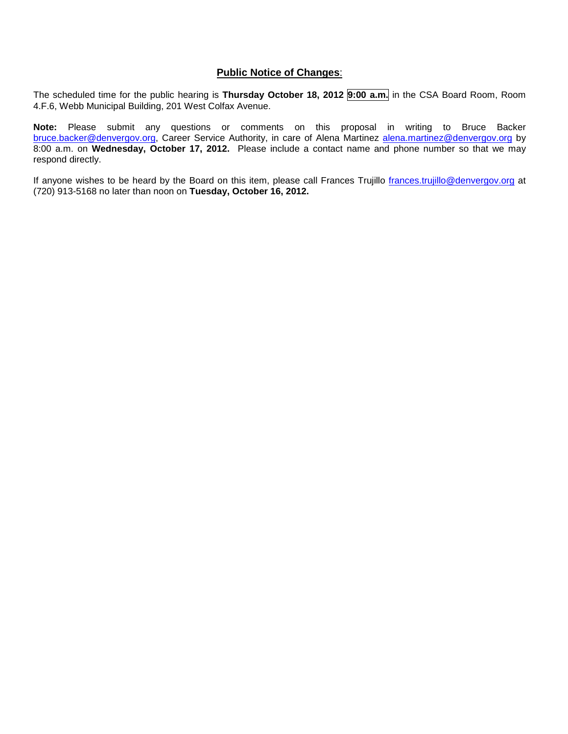### **Public Notice of Changes**:

The scheduled time for the public hearing is **Thursday October 18, 2012 9:00 a.m.** in the CSA Board Room, Room 4.F.6, Webb Municipal Building, 201 West Colfax Avenue.

**Note:** Please submit any questions or comments on this proposal in writing to Bruce Backer [bruce.backer@denvergov.org,](mailto:bruce.backer@denvergov.org) Career Service Authority, in care of Alena Martinez [alena.martinez@denvergov.org](mailto:alena.martinez@denvergov.org) by 8:00 a.m. on **Wednesday, October 17, 2012.** Please include a contact name and phone number so that we may respond directly.

If anyone wishes to be heard by the Board on this item, please call Frances Trujillo [frances.trujillo@denvergov.org](mailto:frances.trujillo@denvergov.org) at (720) 913-5168 no later than noon on **Tuesday, October 16, 2012.**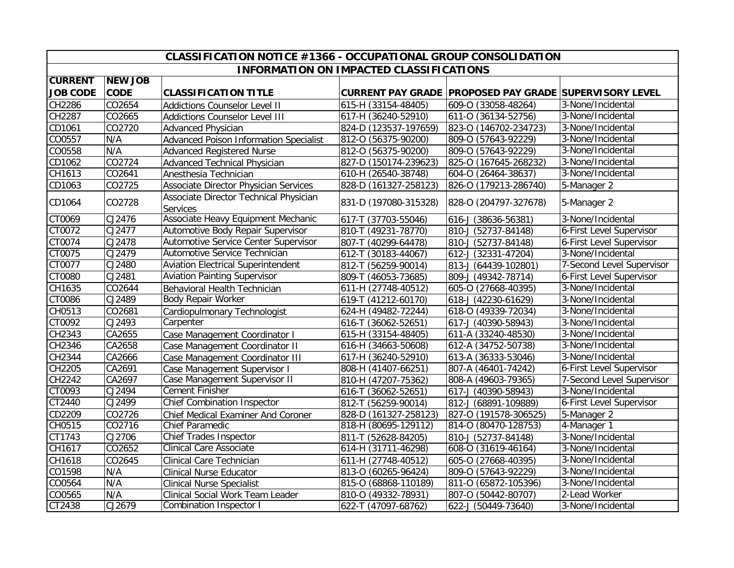|                 |                | CLASSIFICATION NOTICE #1366 - OCCUPATIONAL GROUP CONSOLIDATION |                                                |                                                        |                           |
|-----------------|----------------|----------------------------------------------------------------|------------------------------------------------|--------------------------------------------------------|---------------------------|
|                 |                |                                                                | <b>INFORMATION ON IMPACTED CLASSIFICATIONS</b> |                                                        |                           |
| <b>CURRENT</b>  | <b>NEW JOB</b> |                                                                |                                                |                                                        |                           |
| <b>JOB CODE</b> | <b>CODE</b>    | <b>CLASSIFICATION TITLE</b>                                    |                                                | CURRENT PAY GRADE PROPOSED PAY GRADE SUPERVISORY LEVEL |                           |
| CH2286          | CO2654         | <b>Addictions Counselor Level II</b>                           | 615-H (33154-48405)                            | 609-0 (33058-48264)                                    | 3-None/Incidental         |
| CH2287          | CO2665         | <b>Addictions Counselor Level III</b>                          | 617-H (36240-52910)                            | 611-0 (36134-52756)                                    | 3-None/Incidental         |
| CD1061          | CO2720         | <b>Advanced Physician</b>                                      | 824-D (123537-197659)                          | 823-0 (146702-234723)                                  | 3-None/Incidental         |
| CO0557          | N/A            | <b>Advanced Poison Information Specialist</b>                  | 812-0 (56375-90200)                            | 809-0 (57643-92229)                                    | 3-None/Incidental         |
| CO0558          | N/A            | <b>Advanced Registered Nurse</b>                               | 812-0 (56375-90200)                            | 809-0 (57643-92229)                                    | 3-None/Incidental         |
| CD1062          | CO2724         | Advanced Technical Physician                                   | 827-D (150174-239623)                          | 825-0 (167645-268232)                                  | 3-None/Incidental         |
| CH1613          | CO2641         | Anesthesia Technician                                          | 610-H (26540-38748)                            | 604-0 (26464-38637)                                    | 3-None/Incidental         |
| CD1063          | CO2725         | Associate Director Physician Services                          | 828-D (161327-258123)                          | 826-O (179213-286740)                                  | 5-Manager 2               |
| CD1064          | CO2728         | Associate Director Technical Physician<br><b>Services</b>      | 831-D (197080-315328)                          | 828-0 (204797-327678)                                  | 5-Manager 2               |
| CT0069          | CJ2476         | Associate Heavy Equipment Mechanic                             | 617-T (37703-55046)                            | 616-J (38636-56381)                                    | 3-None/Incidental         |
| CT0072          | CJ2477         | Automotive Body Repair Supervisor                              | 810-T (49231-78770)                            | 810-J (52737-84148)                                    | 6-First Level Supervisor  |
| CT0074          | CJ2478         | Automotive Service Center Supervisor                           | 807-T (40299-64478)                            | 810-J (52737-84148)                                    | 6-First Level Supervisor  |
| CT0075          | CJ2479         | Automotive Service Technician                                  | 612-T (30183-44067)                            | 612-J (32331-47204)                                    | 3-None/Incidental         |
| CT0077          | CJ2480         | <b>Aviation Electrical Superintendent</b>                      | 812-T (56259-90014)                            | 813-J (64439-102801)                                   | 7-Second Level Supervisor |
| CT0080          | CJ2481         | <b>Aviation Painting Supervisor</b>                            | 809-T (46053-73685)                            | 809-J (49342-78714)                                    | 6-First Level Supervisor  |
| CH1635          | CO2644         | Behavioral Health Technician                                   | 611-H (27748-40512)                            | 605-0 (27668-40395)                                    | 3-None/Incidental         |
| CT0086          | CJ2489         | <b>Body Repair Worker</b>                                      | 619-T (41212-60170)                            | 618-J (42230-61629)                                    | 3-None/Incidental         |
| CH0513          | CO2681         | Cardiopulmonary Technologist                                   | 624-H (49482-72244)                            | 618-0 (49339-72034)                                    | 3-None/Incidental         |
| CT0092          | CJ2493         | Carpenter                                                      | 616-T (36062-52651)                            | 617-J (40390-58943)                                    | 3-None/Incidental         |
| CH2343          | CA2655         | Case Management Coordinator I                                  | 615-H (33154-48405)                            | 611-A (33240-48530)                                    | 3-None/Incidental         |
| CH2346          | CA2658         | Case Management Coordinator II                                 | 616-H (34663-50608)                            | 612-A (34752-50738)                                    | 3-None/Incidental         |
| CH2344          | CA2666         | Case Management Coordinator III                                | 617-H (36240-52910)                            | 613-A (36333-53046)                                    | 3-None/Incidental         |
| CH2205          | CA2691         | Case Management Supervisor I                                   | 808-H (41407-66251)                            | 807-A (46401-74242)                                    | 6-First Level Supervisor  |
| CH2242          | CA2697         | Case Management Supervisor II                                  | 810-H (47207-75362)                            | 808-A (49603-79365)                                    | 7-Second Level Supervisor |
| CT0093          | CJ2494         | <b>Cement Finisher</b>                                         | 616-T (36062-52651)                            | 617-J (40390-58943)                                    | 3-None/Incidental         |
| CT2440          | CJ2499         | <b>Chief Combination Inspector</b>                             | 812-T (56259-90014)                            | 812-J (68891-109889)                                   | 6-First Level Supervisor  |
| CD2209          | CO2726         | <b>Chief Medical Examiner And Coroner</b>                      | 828-D (161327-258123)                          | 827-0 (191578-306525)                                  | 5-Manager 2               |
| CH0515          | CO2716         | <b>Chief Paramedic</b>                                         | 818-H (80695-129112)                           | 814-O (80470-128753)                                   | 4-Manager 1               |
| CT1743          | CI2706         | Chief Trades Inspector                                         | 811-T (52628-84205)                            | 810-J (52737-84148)                                    | 3-None/Incidental         |
| CH1617          | CO2652         | <b>Clinical Care Associate</b>                                 | 614-H (31711-46298)                            | 608-0 (31619-46164)                                    | 3-None/Incidental         |
| CH1618          | CO2645         | Clinical Care Technician                                       | 611-H (27748-40512)                            | 605-0 (27668-40395)                                    | 3-None/Incidental         |
| CO1598          | N/A            | <b>Clinical Nurse Educator</b>                                 | 813-O (60265-96424)                            | 809-0 (57643-92229)                                    | 3-None/Incidental         |
| CO0564          | N/A            | <b>Clinical Nurse Specialist</b>                               | 815-O (68868-110189)                           | 811-0 (65872-105396)                                   | 3-None/Incidental         |
| CO0565          | N/A            | Clinical Social Work Team Leader                               | 810-O (49332-78931)                            | 807-0 (50442-80707)                                    | 2-Lead Worker             |
| CT2438          | CJ2679         | <b>Combination Inspector I</b>                                 | 622-T (47097-68762)                            | 622-J (50449-73640)                                    | 3-None/Incidental         |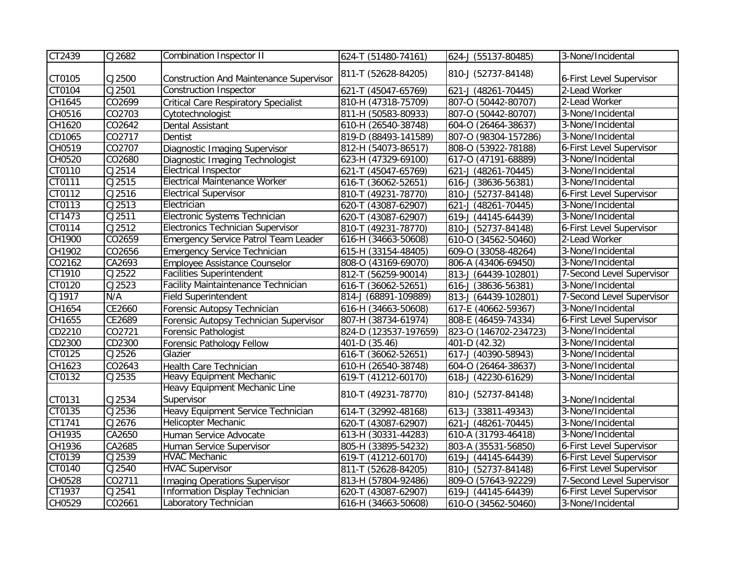| CT2439 | CJ2682              | <b>Combination Inspector II</b>                | 624-T (51480-74161)   | 624-J (55137-80485)   | 3-None/Incidental         |
|--------|---------------------|------------------------------------------------|-----------------------|-----------------------|---------------------------|
| CT0105 | CJ2500              | <b>Construction And Maintenance Supervisor</b> | 811-T (52628-84205)   | 810-J (52737-84148)   | 6-First Level Supervisor  |
| CT0104 | CJ2501              | <b>Construction Inspector</b>                  | 621-T (45047-65769)   | 621-J (48261-70445)   | 2-Lead Worker             |
| CH1645 | CO2699              | <b>Critical Care Respiratory Specialist</b>    | 810-H (47318-75709)   | 807-0 (50442-80707)   | 2-Lead Worker             |
| CH0516 | CO2703              | Cytotechnologist                               | 811-H (50583-80933)   | 807-0 (50442-80707)   | 3-None/Incidental         |
| CH1620 | CO2642              | Dental Assistant                               | 610-H (26540-38748)   | 604-0 (26464-38637)   | 3-None/Incidental         |
| CD1065 | CO2717              | Dentist                                        | 819-D (88493-141589)  | 807-0 (98304-157286)  | 3-None/Incidental         |
| CH0519 | CO2707              | Diagnostic Imaging Supervisor                  | 812-H (54073-86517)   | 808-O (53922-78188)   | 6-First Level Supervisor  |
| CH0520 | CO2680              | Diagnostic Imaging Technologist                | 623-H (47329-69100)   | 617-0 (47191-68889)   | 3-None/Incidental         |
| CT0110 | CJ2514              | <b>Electrical Inspector</b>                    | 621-T (45047-65769)   | 621-J (48261-70445)   | 3-None/Incidental         |
| CT0111 | CJ2515              | <b>Electrical Maintenance Worker</b>           | 616-T (36062-52651)   | 616-J (38636-56381)   | 3-None/Incidental         |
| CT0112 | CJ2516              | <b>Electrical Supervisor</b>                   | 810-T (49231-78770)   | 810-J (52737-84148)   | 6-First Level Supervisor  |
| CT0113 | CJ2513              | Electrician                                    | 620-T (43087-62907)   | 621-J (48261-70445)   | 3-None/Incidental         |
| CT1473 | CJ2511              | Electronic Systems Technician                  | 620-T (43087-62907)   | 619-J (44145-64439)   | 3-None/Incidental         |
| CT0114 | CJ2512              | Electronics Technician Supervisor              | 810-T (49231-78770)   | 810-J (52737-84148)   | 6-First Level Supervisor  |
| CH1900 | CO2659              | <b>Emergency Service Patrol Team Leader</b>    | 616-H (34663-50608)   | 610-O (34562-50460)   | 2-Lead Worker             |
| CH1902 | CO2656              | <b>Emergency Service Technician</b>            | 615-H (33154-48405)   | 609-0 (33058-48264)   | 3-None/Incidental         |
| CO2162 | CA2693              | Employee Assistance Counselor                  | 808-O (43169-69070)   | 806-A (43406-69450)   | 3-None/Incidental         |
| CT1910 | CJ2522              | <b>Facilities Superintendent</b>               | 812-T (56259-90014)   | 813-J (64439-102801)  | 7-Second Level Supervisor |
| CT0120 | CJ2523              | Facility Maintaintenance Technician            | 616-T (36062-52651)   | 616-J (38636-56381)   | 3-None/Incidental         |
| CJ1917 | N/A                 | <b>Field Superintendent</b>                    | 814-J (68891-109889)  | 813-J (64439-102801)  | 7-Second Level Supervisor |
| CH1654 | CE2660              | Forensic Autopsy Technician                    | 616-H (34663-50608)   | 617-E (40662-59367)   | 3-None/Incidental         |
| CH1655 | CE2689              | Forensic Autopsy Technician Supervisor         | 807-H (38734-61974)   | 808-E (46459-74334)   | 6-First Level Supervisor  |
| CD2210 | CO2721              | Forensic Pathologist                           | 824-D (123537-197659) | 823-0 (146702-234723) | 3-None/Incidental         |
| CD2300 | CD2300              | Forensic Pathology Fellow                      | 401-D (35.46)         | 401-D (42.32)         | 3-None/Incidental         |
| CT0125 | CJ2526              | Glazier                                        | 616-T (36062-52651)   | 617-J (40390-58943)   | 3-None/Incidental         |
| CH1623 | CO2643              | Health Care Technician                         | 610-H (26540-38748)   | 604-0 (26464-38637)   | 3-None/Incidental         |
| CT0132 | CJ2535              | Heavy Equipment Mechanic                       | 619-T (41212-60170)   | 618-J (42230-61629)   | 3-None/Incidental         |
|        |                     | <b>Heavy Equipment Mechanic Line</b>           |                       |                       |                           |
| CT0131 | CJ2534              | Supervisor                                     | 810-T (49231-78770)   | 810-J (52737-84148)   | 3-None/Incidental         |
| CT0135 | $\overline{CJ2536}$ | Heavy Equipment Service Technician             | 614-T (32992-48168)   | 613-J (33811-49343)   | 3-None/Incidental         |
| CT1741 | CJ2676              | Helicopter Mechanic                            | 620-T (43087-62907)   | 621-J (48261-70445)   | 3-None/Incidental         |
| CH1935 | CA2650              | Human Service Advocate                         | 613-H (30331-44283)   | 610-A (31793-46418)   | 3-None/Incidental         |
| CH1936 | CA2685              | Human Service Supervisor                       | 805-H (33895-54232)   | 803-A (35531-56850)   | 6-First Level Supervisor  |
| CT0139 | CJ2539              | <b>HVAC Mechanic</b>                           | 619-T (41212-60170)   | 619-J (44145-64439)   | 6-First Level Supervisor  |
| CT0140 | CJ2540              | <b>HVAC Supervisor</b>                         | 811-T (52628-84205)   | 810-J (52737-84148)   | 6-First Level Supervisor  |
| CH0528 | CO2711              | <b>Imaging Operations Supervisor</b>           | 813-H (57804-92486)   | 809-O (57643-92229)   | 7-Second Level Supervisor |
| CT1937 | CJ2541              | Information Display Technician                 | 620-T (43087-62907)   | 619-J (44145-64439)   | 6-First Level Supervisor  |
| CH0529 | CO2661              | Laboratory Technician                          | 616-H (34663-50608)   | 610-O (34562-50460)   | 3-None/Incidental         |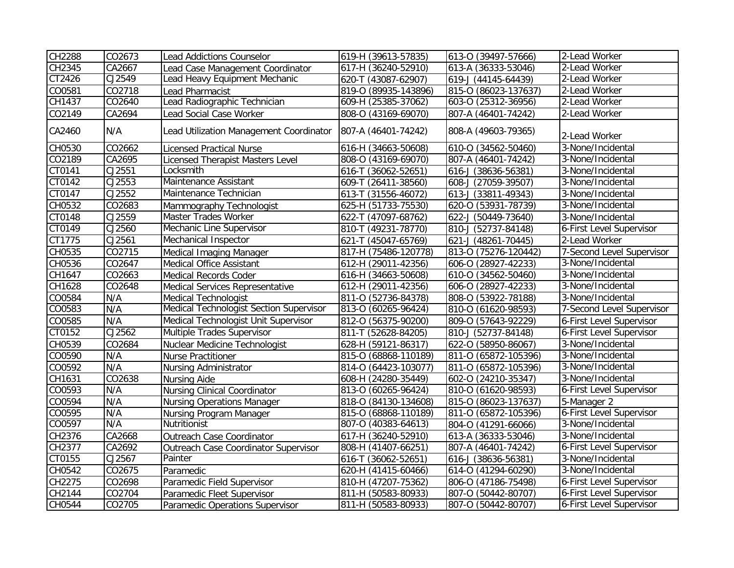| CH2288 | CO2673 | <b>Lead Addictions Counselor</b>        | 619-H (39613-57835)  | 613-0 (39497-57666)  | 2-Lead Worker             |
|--------|--------|-----------------------------------------|----------------------|----------------------|---------------------------|
| CH2345 | CA2667 | Lead Case Management Coordinator        | 617-H (36240-52910)  | 613-A (36333-53046)  | 2-Lead Worker             |
| CT2426 | CJ2549 | Lead Heavy Equipment Mechanic           | 620-T (43087-62907)  | 619-J (44145-64439)  | 2-Lead Worker             |
| CO0581 | CO2718 | Lead Pharmacist                         | 819-0 (89935-143896) | 815-0 (86023-137637) | 2-Lead Worker             |
| CH1437 | CO2640 | Lead Radiographic Technician            | 609-H (25385-37062)  | 603-0 (25312-36956)  | 2-Lead Worker             |
| CO2149 | CA2694 | Lead Social Case Worker                 | 808-O (43169-69070)  | 807-A (46401-74242)  | 2-Lead Worker             |
| CA2460 | N/A    | Lead Utilization Management Coordinator | 807-A (46401-74242)  | 808-A (49603-79365)  | 2-Lead Worker             |
| CH0530 | CO2662 | <b>Licensed Practical Nurse</b>         | 616-H (34663-50608)  | 610-O (34562-50460)  | 3-None/Incidental         |
| CO2189 | CA2695 | <b>Licensed Therapist Masters Level</b> | 808-O (43169-69070)  | 807-A (46401-74242)  | 3-None/Incidental         |
| CT0141 | CJ2551 | Locksmith                               | 616-T (36062-52651)  | 616-J (38636-56381)  | 3-None/Incidental         |
| CT0142 | CJ2553 | Maintenance Assistant                   | 609-T (26411-38560)  | 608-J (27059-39507)  | 3-None/Incidental         |
| CT0147 | CJ2552 | Maintenance Technician                  | 613-T (31556-46072)  | 613-J (33811-49343)  | 3-None/Incidental         |
| CH0532 | CO2683 | Mammography Technologist                | 625-H (51733-75530)  | 620-0 (53931-78739)  | 3-None/Incidental         |
| CT0148 | CJ2559 | Master Trades Worker                    | 622-T (47097-68762)  | 622-J (50449-73640)  | 3-None/Incidental         |
| CT0149 | CJ2560 | Mechanic Line Supervisor                | 810-T (49231-78770)  | 810-J (52737-84148)  | 6-First Level Supervisor  |
| CT1775 | CJ2561 | Mechanical Inspector                    | 621-T (45047-65769)  | 621-J (48261-70445)  | 2-Lead Worker             |
| CH0535 | CO2715 | Medical Imaging Manager                 | 817-H (75486-120778) | 813-0 (75276-120442) | 7-Second Level Supervisor |
| CH0536 | CO2647 | Medical Office Assistant                | 612-H (29011-42356)  | 606-0 (28927-42233)  | 3-None/Incidental         |
| CH1647 | CO2663 | Medical Records Coder                   | 616-H (34663-50608)  | 610-O (34562-50460)  | 3-None/Incidental         |
| CH1628 | CO2648 | Medical Services Representative         | 612-H (29011-42356)  | 606-0 (28927-42233)  | 3-None/Incidental         |
| CO0584 | N/A    | <b>Medical Technologist</b>             | 811-0 (52736-84378)  | 808-0 (53922-78188)  | 3-None/Incidental         |
| CO0583 | N/A    | Medical Technologist Section Supervisor | 813-O (60265-96424)  | 810-0 (61620-98593)  | 7-Second Level Supervisor |
| CO0585 | N/A    | Medical Technologist Unit Supervisor    | 812-0 (56375-90200)  | 809-0 (57643-92229)  | 6-First Level Supervisor  |
| CT0152 | CJ2562 | Multiple Trades Supervisor              | 811-T (52628-84205)  | 810-J (52737-84148)  | 6-First Level Supervisor  |
| CH0539 | CO2684 | <b>Nuclear Medicine Technologist</b>    | 628-H (59121-86317)  | 622-0 (58950-86067)  | 3-None/Incidental         |
| CO0590 | N/A    | Nurse Practitioner                      | 815-O (68868-110189) | 811-0 (65872-105396) | 3-None/Incidental         |
| CO0592 | N/A    | Nursing Administrator                   | 814-0 (64423-103077) | 811-0 (65872-105396) | 3-None/Incidental         |
| CH1631 | CO2638 | Nursing Aide                            | 608-H (24280-35449)  | 602-0 (24210-35347)  | 3-None/Incidental         |
| CO0593 | N/A    | <b>Nursing Clinical Coordinator</b>     | 813-O (60265-96424)  | 810-0 (61620-98593)  | 6-First Level Supervisor  |
| CO0594 | N/A    | <b>Nursing Operations Manager</b>       | 818-O (84130-134608) | 815-0 (86023-137637) | 5-Manager 2               |
| CO0595 | N/A    | <b>Nursing Program Manager</b>          | 815-0 (68868-110189) | 811-0 (65872-105396) | 6-First Level Supervisor  |
| CO0597 | N/A    | Nutritionist                            | 807-O (40383-64613)  | 804-0 (41291-66066)  | 3-None/Incidental         |
| CH2376 | CA2668 | Outreach Case Coordinator               | 617-H (36240-52910)  | 613-A (36333-53046)  | 3-None/Incidental         |
| CH2377 | CA2692 | Outreach Case Coordinator Supervisor    | 808-H (41407-66251)  | 807-A (46401-74242)  | 6-First Level Supervisor  |
| CT0155 | CJ2567 | Painter                                 | 616-T (36062-52651)  | 616-J (38636-56381)  | 3-None/Incidental         |
| CH0542 | CO2675 | Paramedic                               | 620-H (41415-60466)  | 614-O (41294-60290)  | 3-None/Incidental         |
| CH2275 | CO2698 | Paramedic Field Supervisor              | 810-H (47207-75362)  | 806-0 (47186-75498)  | 6-First Level Supervisor  |
| CH2144 | CO2704 | Paramedic Fleet Supervisor              | 811-H (50583-80933)  | 807-0 (50442-80707)  | 6-First Level Supervisor  |
| CH0544 | CO2705 | Paramedic Operations Supervisor         | 811-H (50583-80933)  | 807-0 (50442-80707)  | 6-First Level Supervisor  |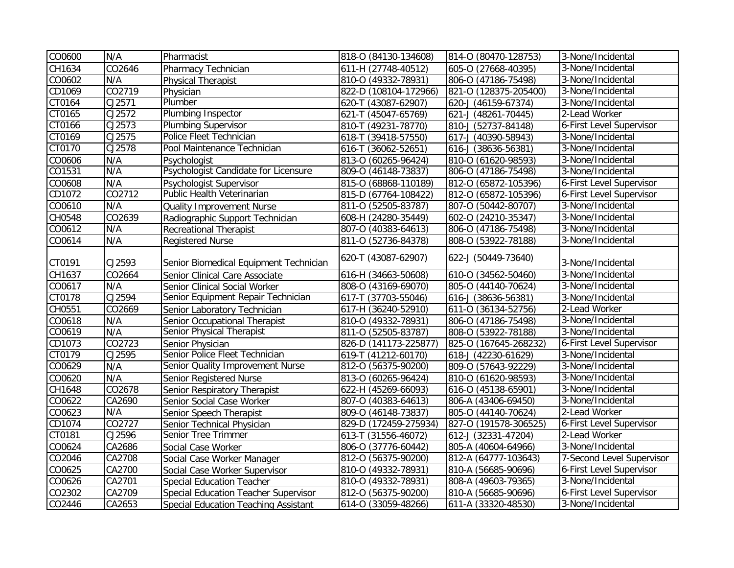| CO0600 | N/A    | Pharmacist                             | 818-0 (84130-134608)  | 814-0 (80470-128753)  | 3-None/Incidental         |
|--------|--------|----------------------------------------|-----------------------|-----------------------|---------------------------|
| CH1634 | CO2646 | Pharmacy Technician                    | 611-H (27748-40512)   | 605-0 (27668-40395)   | 3-None/Incidental         |
| CO0602 | N/A    | Physical Therapist                     | 810-0 (49332-78931)   | 806-0 (47186-75498)   | 3-None/Incidental         |
| CD1069 | CO2719 | Physician                              | 822-D (108104-172966) | 821-0 (128375-205400) | 3-None/Incidental         |
| CT0164 | CJ2571 | Plumber                                | 620-T (43087-62907)   | 620-J (46159-67374)   | 3-None/Incidental         |
| CT0165 | CJ2572 | <b>Plumbing Inspector</b>              | 621-T (45047-65769)   | 621-J (48261-70445)   | 2-Lead Worker             |
| CT0166 | CJ2573 | <b>Plumbing Supervisor</b>             | 810-T (49231-78770)   | 810-J (52737-84148)   | 6-First Level Supervisor  |
| CT0169 | CJ2575 | Police Fleet Technician                | 618-T (39418-57550)   | 617-J (40390-58943)   | 3-None/Incidental         |
| CT0170 | CJ2578 | Pool Maintenance Technician            | 616-T (36062-52651)   | 616-J (38636-56381)   | 3-None/Incidental         |
| CO0606 | N/A    | Psychologist                           | 813-O (60265-96424)   | 810-0 (61620-98593)   | 3-None/Incidental         |
| CO1531 | N/A    | Psychologist Candidate for Licensure   | 809-0 (46148-73837)   | 806-0 (47186-75498)   | 3-None/Incidental         |
| CO0608 | N/A    | Psychologist Supervisor                | 815-O (68868-110189)  | 812-0 (65872-105396)  | 6-First Level Supervisor  |
| CD1072 | CO2712 | Public Health Veterinarian             | 815-D (67764-108422)  | 812-0 (65872-105396)  | 6-First Level Supervisor  |
| CO0610 | N/A    | Quality Improvement Nurse              | 811-O (52505-83787)   | 807-0 (50442-80707)   | 3-None/Incidental         |
| CH0548 | CO2639 | Radiographic Support Technician        | 608-H (24280-35449)   | 602-0 (24210-35347)   | 3-None/Incidental         |
| CO0612 | N/A    | <b>Recreational Therapist</b>          | 807-0 (40383-64613)   | 806-0 (47186-75498)   | 3-None/Incidental         |
| CO0614 | N/A    | <b>Registered Nurse</b>                | 811-O (52736-84378)   | 808-O (53922-78188)   | 3-None/Incidental         |
| CT0191 | CJ2593 | Senior Biomedical Equipment Technician | 620-T (43087-62907)   | 622-J (50449-73640)   | 3-None/Incidental         |
| CH1637 | CO2664 | Senior Clinical Care Associate         | 616-H (34663-50608)   | 610-0 (34562-50460)   | 3-None/Incidental         |
| CO0617 | N/A    | Senior Clinical Social Worker          | 808-O (43169-69070)   | 805-0 (44140-70624)   | 3-None/Incidental         |
| CT0178 | CJ2594 | Senior Equipment Repair Technician     | 617-T (37703-55046)   | 616-J (38636-56381)   | 3-None/Incidental         |
| CH0551 | CO2669 | Senior Laboratory Technician           | 617-H (36240-52910)   | 611-O (36134-52756)   | 2-Lead Worker             |
| CO0618 | N/A    | Senior Occupational Therapist          | 810-O (49332-78931)   | 806-0 (47186-75498)   | 3-None/Incidental         |
| CO0619 | N/A    | Senior Physical Therapist              | 811-O (52505-83787)   | 808-0 (53922-78188)   | 3-None/Incidental         |
| CD1073 | CO2723 | Senior Physician                       | 826-D (141173-225877) | 825-0 (167645-268232) | 6-First Level Supervisor  |
| CT0179 | CJ2595 | Senior Police Fleet Technician         | 619-T (41212-60170)   | 618-J (42230-61629)   | 3-None/Incidental         |
| CO0629 | N/A    | Senior Quality Improvement Nurse       | 812-O (56375-90200)   | 809-0 (57643-92229)   | 3-None/Incidental         |
| CO0620 | N/A    | Senior Registered Nurse                | 813-0 (60265-96424)   | 810-0 (61620-98593)   | 3-None/Incidental         |
| CH1648 | CO2678 | Senior Respiratory Therapist           | 622-H (45269-66093)   | 616-0 (45138-65901)   | 3-None/Incidental         |
| CO0622 | CA2690 | Senior Social Case Worker              | 807-O (40383-64613)   | 806-A (43406-69450)   | 3-None/Incidental         |
| CO0623 | N/A    | Senior Speech Therapist                | 809-O (46148-73837)   | 805-O (44140-70624)   | 2-Lead Worker             |
| CD1074 | CO2727 | Senior Technical Physician             | 829-D (172459-275934) | 827-0 (191578-306525) | 6-First Level Supervisor  |
| CT0181 | CJ2596 | Senior Tree Trimmer                    | 613-T (31556-46072)   | 612-J (32331-47204)   | 2-Lead Worker             |
| CO0624 | CA2686 | Social Case Worker                     | 806-O (37776-60442)   | 805-A (40604-64966)   | 3-None/Incidental         |
| CO2046 | CA2708 | Social Case Worker Manager             | 812-O (56375-90200)   | 812-A (64777-103643)  | 7-Second Level Supervisor |
| CO0625 | CA2700 | Social Case Worker Supervisor          | 810-O (49332-78931)   | 810-A (56685-90696)   | 6-First Level Supervisor  |
| CO0626 | CA2701 | <b>Special Education Teacher</b>       | 810-O (49332-78931)   | 808-A (49603-79365)   | 3-None/Incidental         |
| CO2302 | CA2709 | Special Education Teacher Supervisor   | 812-0 (56375-90200)   | 810-A (56685-90696)   | 6-First Level Supervisor  |
| CO2446 | CA2653 | Special Education Teaching Assistant   | 614-O (33059-48266)   | 611-A (33320-48530)   | 3-None/Incidental         |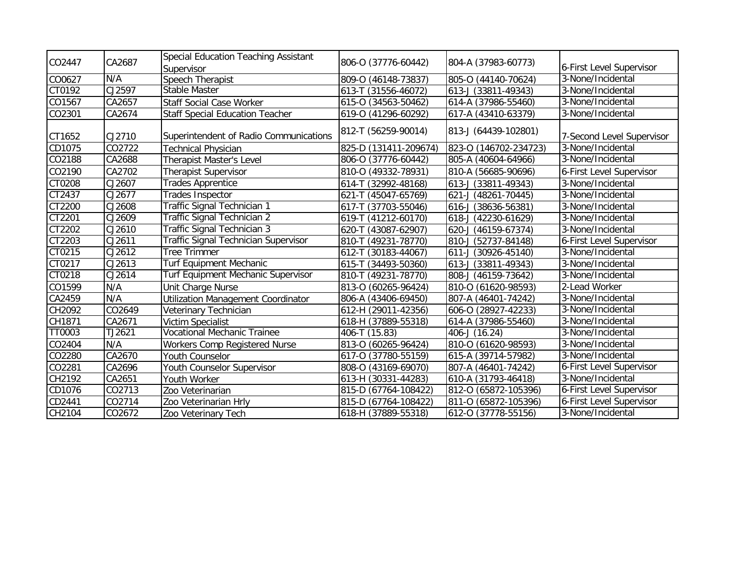| CO2447 | CA2687 | Special Education Teaching Assistant<br>Supervisor | 806-0 (37776-60442)   | 804-A (37983-60773)   | 6-First Level Supervisor  |
|--------|--------|----------------------------------------------------|-----------------------|-----------------------|---------------------------|
| CO0627 | N/A    | Speech Therapist                                   | 809-0 (46148-73837)   | 805-O (44140-70624)   | 3-None/Incidental         |
| CT0192 | CJ2597 | Stable Master                                      | 613-T (31556-46072)   | 613-J (33811-49343)   | 3-None/Incidental         |
| CO1567 | CA2657 | <b>Staff Social Case Worker</b>                    | 615-O (34563-50462)   | 614-A (37986-55460)   | 3-None/Incidental         |
| CO2301 | CA2674 | <b>Staff Special Education Teacher</b>             | 619-0 (41296-60292)   | 617-A (43410-63379)   | 3-None/Incidental         |
| CT1652 | CJ2710 | Superintendent of Radio Communications             | 812-T (56259-90014)   | 813-J (64439-102801)  | 7-Second Level Supervisor |
| CD1075 | CO2722 | <b>Technical Physician</b>                         | 825-D (131411-209674) | 823-0 (146702-234723) | 3-None/Incidental         |
| CO2188 | CA2688 | Therapist Master's Level                           | 806-0 (37776-60442)   | 805-A (40604-64966)   | 3-None/Incidental         |
| CO2190 | CA2702 | <b>Therapist Supervisor</b>                        | 810-0 (49332-78931)   | 810-A (56685-90696)   | 6-First Level Supervisor  |
| CT0208 | CJ2607 | <b>Trades Apprentice</b>                           | 614-T (32992-48168)   | 613-J (33811-49343)   | 3-None/Incidental         |
| CT2437 | CJ2677 | Trades Inspector                                   | 621-T (45047-65769)   | 621-J (48261-70445)   | 3-None/Incidental         |
| CT2200 | CJ2608 | Traffic Signal Technician 1                        | 617-T (37703-55046)   | 616-J (38636-56381)   | 3-None/Incidental         |
| CT2201 | CJ2609 | Traffic Signal Technician 2                        | 619-T (41212-60170)   | 618-J (42230-61629)   | 3-None/Incidental         |
| CT2202 | CJ2610 | Traffic Signal Technician 3                        | 620-T (43087-62907)   | 620-J (46159-67374)   | 3-None/Incidental         |
| CT2203 | CJ2611 | Traffic Signal Technician Supervisor               | 810-T (49231-78770)   | 810-J (52737-84148)   | 6-First Level Supervisor  |
| CT0215 | CJ2612 | <b>Tree Trimmer</b>                                | 612-T (30183-44067)   | 611-J (30926-45140)   | 3-None/Incidental         |
| CT0217 | CJ2613 | <b>Turf Equipment Mechanic</b>                     | 615-T (34493-50360)   | 613-J (33811-49343)   | 3-None/Incidental         |
| CT0218 | CJ2614 | Turf Equipment Mechanic Supervisor                 | 810-T (49231-78770)   | 808-J (46159-73642)   | 3-None/Incidental         |
| CO1599 | N/A    | Unit Charge Nurse                                  | 813-0 (60265-96424)   | 810-0 (61620-98593)   | 2-Lead Worker             |
| CA2459 | N/A    | <b>Utilization Management Coordinator</b>          | 806-A (43406-69450)   | 807-A (46401-74242)   | 3-None/Incidental         |
| CH2092 | CO2649 | Veterinary Technician                              | 612-H (29011-42356)   | 606-0 (28927-42233)   | 3-None/Incidental         |
| CH1871 | CA2671 | Victim Specialist                                  | 618-H (37889-55318)   | 614-A (37986-55460)   | 3-None/Incidental         |
| TT0003 | TJ2621 | <b>Vocational Mechanic Trainee</b>                 | 406-T (15.83)         | 406-J (16.24)         | 3-None/Incidental         |
| CO2404 | N/A    | Workers Comp Registered Nurse                      | 813-O (60265-96424)   | 810-0 (61620-98593)   | 3-None/Incidental         |
| CO2280 | CA2670 | Youth Counselor                                    | 617-O (37780-55159)   | 615-A (39714-57982)   | 3-None/Incidental         |
| CO2281 | CA2696 | Youth Counselor Supervisor                         | 808-O (43169-69070)   | 807-A (46401-74242)   | 6-First Level Supervisor  |
| CH2192 | CA2651 | Youth Worker                                       | 613-H (30331-44283)   | 610-A (31793-46418)   | 3-None/Incidental         |
| CD1076 | CO2713 | Zoo Veterinarian                                   | 815-D (67764-108422)  | 812-0 (65872-105396)  | 6-First Level Supervisor  |
| CD2441 | CO2714 | Zoo Veterinarian Hrly                              | 815-D (67764-108422)  | 811-0 (65872-105396)  | 6-First Level Supervisor  |
| CH2104 | CO2672 | Zoo Veterinary Tech                                | 618-H (37889-55318)   | 612-0 (37778-55156)   | 3-None/Incidental         |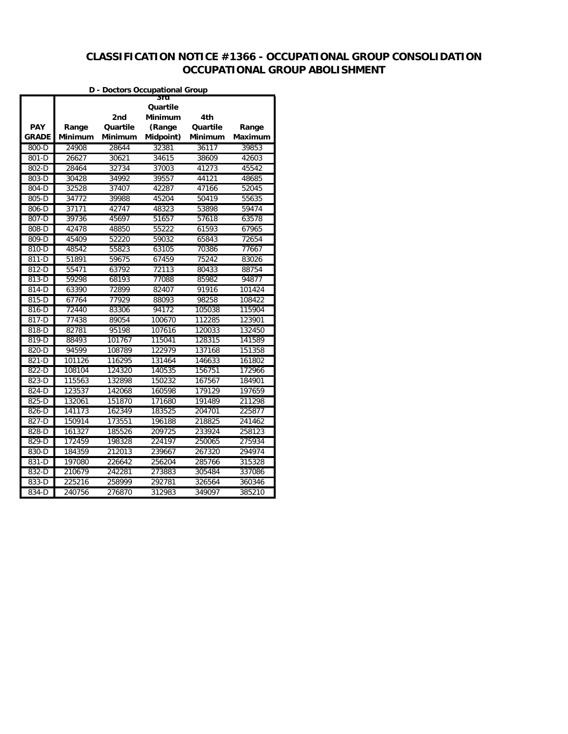# **CLASSIFICATION NOTICE #1366 - OCCUPATIONAL GROUP CONSOLIDATION OCCUPATIONAL GROUP ABOLISHMENT**

|                            |                  |                     | D - Doctors Occupational Group |                     |                  |
|----------------------------|------------------|---------------------|--------------------------------|---------------------|------------------|
|                            |                  | 2nd                 | sra<br>Quartile<br>Minimum     | 4th                 |                  |
| <b>PAY</b><br><b>GRADE</b> | Range<br>Minimum | Quartile<br>Minimum | (Range<br>Midpoint)            | Quartile<br>Minimum | Range<br>Maximum |
| 800-D                      | 24908            | 28644               | 32381                          | 36117               | 39853            |
| 801-D                      | 26627            | 30621               | 34615                          | 38609               | 42603            |
| 802-D                      | 28464            | 32734               | 37003                          | 41273               | 45542            |
| 803-D                      | 30428            | 34992               | 39557                          | 44121               | 48685            |
| 804-D                      | 32528            | 37407               | 42287                          | 47166               | 52045            |
| 805-D                      | 34772            | 39988               | 45204                          | 50419               | 55635            |
| 806-D                      | 37171            | 42747               | 48323                          | 53898               | 59474            |
| 807-D                      | 39736            | 45697               | 51657                          | 57618               | 63578            |
| 808-D                      | 42478            | 48850               | 55222                          | 61593               | 67965            |
| $809 - D$                  | 45409            | 52220               | 59032                          | 65843               | 72654            |
| 810-D                      | 48542            | 55823               | 63105                          | 70386               | 77667            |
| 811-D                      | 51891            | 59675               | 67459                          | 75242               | 83026            |
| 812-D                      | 55471            | 63792               | 72113                          | 80433               | 88754            |
| 813-D                      | 59298            | 68193               | 77088                          | 85982               | 94877            |
| 814-D                      | 63390            | 72899               | 82407                          | 91916               | 101424           |
| 815-D                      | 67764            | 77929               | 88093                          | 98258               | 108422           |
| 816-D                      | 72440            | 83306               | 94172                          | 105038              | 115904           |
| 817-D                      | 77438            | 89054               | 100670                         | 112285              | 123901           |
| 818-D                      | 82781            | 95198               | 107616                         | 120033              | 132450           |
| 819-D                      | 88493            | 101767              | 115041                         | 128315              | 141589           |
| 820-D                      | 94599            | 108789              | 122979                         | 137168              | 151358           |
| 821-D                      | 101126           | 116295              | 131464                         | 146633              | 161802           |
| 822-D                      | 108104           | 124320              | 140535                         | 156751              | 172966           |
| 823-D                      | 115563           | 132898              | 150232                         | 167567              | 184901           |
| 824-D                      | 123537           | 142068              | 160598                         | 179129              | 197659           |
| 825-D                      | 132061           | 151870              | 171680                         | 191489              | 211298           |
| 826-D                      | 141173           | 162349              | 183525                         | 204701              | 225877           |
| 827-D                      | 150914           | 173551              | 196188                         | 218825              | 241462           |
| 828-D                      | 161327           | 185526              | 209725                         | 233924              | 258123           |
| 829-D                      | 172459           | 198328              | 224197                         | 250065              | 275934           |
| 830-D                      | 184359           | 212013              | 239667                         | 267320              | 294974           |
| 831-D                      | 197080           | 226642              | 256204                         | 285766              | 315328           |
| 832-D                      | 210679           | 242281              | 273883                         | 305484              | 337086           |
| 833-D                      | 225216           | 258999              | 292781                         | 326564              | 360346           |
| 834-D                      | 240756           | 276870              | 312983                         | 349097              | 385210           |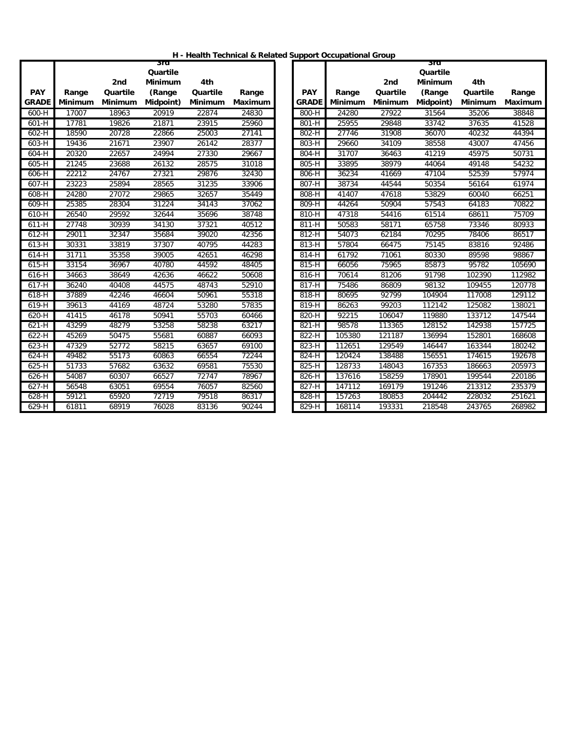| H - Health Technical & Related Support Occupational Group |  |  |  |
|-----------------------------------------------------------|--|--|--|
|-----------------------------------------------------------|--|--|--|

|              |                |                | sra            |                |         |              |         |          | 3ra            |                |        |
|--------------|----------------|----------------|----------------|----------------|---------|--------------|---------|----------|----------------|----------------|--------|
|              |                |                | Quartile       |                |         |              |         |          | Quartile       |                |        |
|              |                | 2nd            | <b>Minimum</b> | 4th            |         |              |         | 2nd      | <b>Minimum</b> | 4th            |        |
| <b>PAY</b>   | Range          | Quartile       | (Range         | Quartile       | Range   | <b>PAY</b>   | Range   | Quartile | (Range         | Quartile       | Range  |
| <b>GRADE</b> | <b>Minimum</b> | <b>Minimum</b> | Midpoint)      | <b>Minimum</b> | Maximum | <b>GRADE</b> | Minimum | Minimum  | Midpoint)      | <b>Minimum</b> | Maximu |
| $600-H$      | 17007          | 18963          | 20919          | 22874          | 24830   | $800-H$      | 24280   | 27922    | 31564          | 35206          | 38848  |
| $601-H$      | 17781          | 19826          | 21871          | 23915          | 25960   | $801-H$      | 25955   | 29848    | 33742          | 37635          | 41528  |
| $602-H$      | 18590          | 20728          | 22866          | 25003          | 27141   | $802-H$      | 27746   | 31908    | 36070          | 40232          | 44394  |
| 603-H        | 19436          | 21671          | 23907          | 26142          | 28377   | 803-H        | 29660   | 34109    | 38558          | 43007          | 47456  |
| 604-H        | 20320          | 22657          | 24994          | 27330          | 29667   | 804-H        | 31707   | 36463    | 41219          | 45975          | 50731  |
| $605-H$      | 21245          | 23688          | 26132          | 28575          | 31018   | $805-H$      | 33895   | 38979    | 44064          | 49148          | 54232  |
| 606-H        | 22212          | 24767          | 27321          | 29876          | 32430   | 806-H        | 36234   | 41669    | 47104          | 52539          | 57974  |
| 607-H        | 23223          | 25894          | 28565          | 31235          | 33906   | 807-H        | 38734   | 44544    | 50354          | 56164          | 61974  |
| 608-H        | 24280          | 27072          | 29865          | 32657          | 35449   | 808-H        | 41407   | 47618    | 53829          | 60040          | 66251  |
| 609-H        | 25385          | 28304          | 31224          | 34143          | 37062   | 809-H        | 44264   | 50904    | 57543          | 64183          | 70822  |
| 610-H        | 26540          | 29592          | 32644          | 35696          | 38748   | 810-H        | 47318   | 54416    | 61514          | 68611          | 75709  |
| $611-H$      | 27748          | 30939          | 34130          | 37321          | 40512   | 811-H        | 50583   | 58171    | 65758          | 73346          | 80933  |
| $612-H$      | 29011          | 32347          | 35684          | 39020          | 42356   | 812-H        | 54073   | 62184    | 70295          | 78406          | 86517  |
| $613-H$      | 30331          | 33819          | 37307          | 40795          | 44283   | 813-H        | 57804   | 66475    | 75145          | 83816          | 92486  |
| $614-H$      | 31711          | 35358          | 39005          | 42651          | 46298   | $814-H$      | 61792   | 71061    | 80330          | 89598          | 98867  |
| $615-H$      | 33154          | 36967          | 40780          | 44592          | 48405   | $815-H$      | 66056   | 75965    | 85873          | 95782          | 105690 |
| 616-H        | 34663          | 38649          | 42636          | 46622          | 50608   | 816-H        | 70614   | 81206    | 91798          | 102390         | 112982 |
| 617-H        | 36240          | 40408          | 44575          | 48743          | 52910   | 817-H        | 75486   | 86809    | 98132          | 109455         | 120778 |
| 618-H        | 37889          | 42246          | 46604          | 50961          | 55318   | 818-H        | 80695   | 92799    | 104904         | 117008         | 129112 |
| 619-H        | 39613          | 44169          | 48724          | 53280          | 57835   | 819-H        | 86263   | 99203    | 112142         | 125082         | 138021 |
| 620-H        | 41415          | 46178          | 50941          | 55703          | 60466   | 820-H        | 92215   | 106047   | 119880         | 133712         | 147544 |
| 621-H        | 43299          | 48279          | 53258          | 58238          | 63217   | 821-H        | 98578   | 113365   | 128152         | 142938         | 157725 |
| 622-H        | 45269          | 50475          | 55681          | 60887          | 66093   | 822-H        | 105380  | 121187   | 136994         | 152801         | 168608 |
| $623-H$      | 47329          | 52772          | 58215          | 63657          | 69100   | 823-H        | 112651  | 129549   | 146447         | 163344         | 180242 |
| $624-H$      | 49482          | 55173          | 60863          | 66554          | 72244   | 824-H        | 120424  | 138488   | 156551         | 174615         | 192678 |
| $625-H$      | 51733          | 57682          | 63632          | 69581          | 75530   | $825-H$      | 128733  | 148043   | 167353         | 186663         | 205973 |
| $626-H$      | 54087          | 60307          | 66527          | 72747          | 78967   | 826-H        | 137616  | 158259   | 178901         | 199544         | 220186 |
| 627-H        | 56548          | 63051          | 69554          | 76057          | 82560   | 827-H        | 147112  | 169179   | 191246         | 213312         | 235379 |
| 628-H        | 59121          | 65920          | 72719          | 79518          | 86317   | 828-H        | 157263  | 180853   | 204442         | 228032         | 251621 |
| 629-H        | 61811          | 68919          | 76028          | 83136          | 90244   | 829-H        | 168114  | 193331   | 218548         | 243765         | 268982 |

|              |                |                | 3ra       |                |         |
|--------------|----------------|----------------|-----------|----------------|---------|
|              |                |                | Quartile  |                |         |
|              |                | 2nd            | Minimum   | 4th            |         |
| <b>PAY</b>   | Range          | Quartile       | (Range    | Quartile       | Range   |
| <b>GRADE</b> | <b>Minimum</b> | <b>Minimum</b> | Midpoint) | <b>Minimum</b> | Maximum |
| $800-H$      | 24280          | 27922          | 31564     | 35206          | 38848   |
| $801-H$      | 25955          | 29848          | 33742     | 37635          | 41528   |
| $802-H$      | 27746          | 31908          | 36070     | 40232          | 44394   |
| 803-H        | 29660          | 34109          | 38558     | 43007          | 47456   |
| 804-H        | 31707          | 36463          | 41219     | 45975          | 50731   |
| 805-H        | 33895          | 38979          | 44064     | 49148          | 54232   |
| 806-H        | 36234          | 41669          | 47104     | 52539          | 57974   |
| $807-H$      | 38734          | 44544          | 50354     | 56164          | 61974   |
| $808-H$      | 41407          | 47618          | 53829     | 60040          | 66251   |
| $809-H$      | 44264          | 50904          | 57543     | 64183          | 70822   |
| $810-H$      | 47318          | 54416          | 61514     | 68611          | 75709   |
| 811-H        | 50583          | 58171          | 65758     | 73346          | 80933   |
| 812-H        | 54073          | 62184          | 70295     | 78406          | 86517   |
| 813-H        | 57804          | 66475          | 75145     | 83816          | 92486   |
| $814-H$      | 61792          | 71061          | 80330     | 89598          | 98867   |
| $815-H$      | 66056          | 75965          | 85873     | 95782          | 105690  |
| $816-H$      | 70614          | 81206          | 91798     | 102390         | 112982  |
| $817-H$      | 75486          | 86809          | 98132     | 109455         | 120778  |
| $818-H$      | 80695          | 92799          | 104904    | 117008         | 129112  |
| 819-H        | 86263          | 99203          | 112142    | 125082         | 138021  |
| 820-H        | 92215          | 106047         | 119880    | 133712         | 147544  |
| 821-H        | 98578          | 113365         | 128152    | 142938         | 157725  |
| 822-H        | 105380         | 121187         | 136994    | 152801         | 168608  |
| $823-H$      | 112651         | 129549         | 146447    | 163344         | 180242  |
| $824-H$      | 120424         | 138488         | 156551    | 174615         | 192678  |
| $825-H$      | 128733         | 148043         | 167353    | 186663         | 205973  |
| 826-H        | 137616         | 158259         | 178901    | 199544         | 220186  |
| 827-H        | 147112         | 169179         | 191246    | 213312         | 235379  |
| 828-H        | 157263         | 180853         | 204442    | 228032         | 251621  |
| 829-H        | 168114         | 193331         | 218548    | 243765         | 268982  |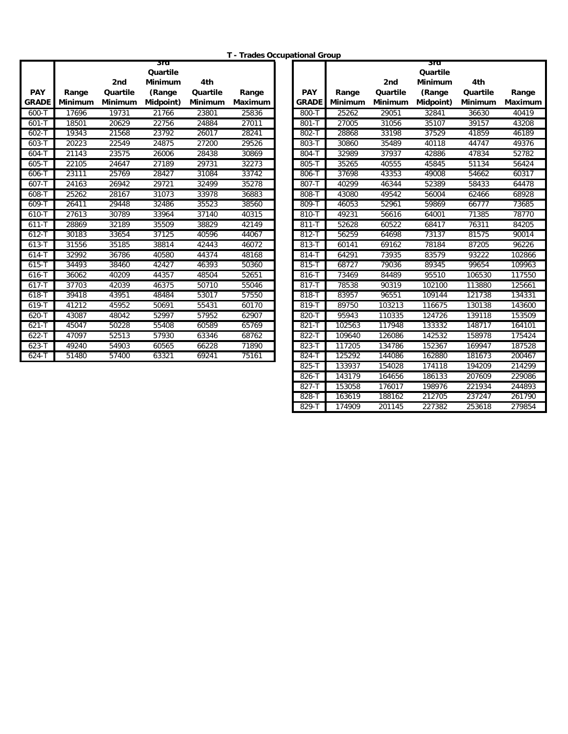**T - Trades Occupational Group**

|                            |                         |                     | sra                 |                     |                  |                            |                         |                            | sra                 |                     |                 |
|----------------------------|-------------------------|---------------------|---------------------|---------------------|------------------|----------------------------|-------------------------|----------------------------|---------------------|---------------------|-----------------|
|                            |                         |                     | Quartile            |                     |                  |                            |                         |                            | Quartile            |                     |                 |
|                            |                         | 2nd                 | <b>Minimum</b>      | 4th                 |                  |                            |                         | 2nd                        | <b>Minimum</b>      | 4th                 |                 |
| <b>PAY</b><br><b>GRADE</b> | Range<br><b>Minimum</b> | Quartile<br>Minimum | (Range<br>Midpoint) | Quartile<br>Minimum | Range<br>Maximum | <b>PAY</b><br><b>GRADE</b> | Range<br><b>Minimum</b> | Quartile<br><b>Minimum</b> | (Range<br>Midpoint) | Quartile<br>Minimum | Range<br>Maximu |
| 600-T                      | 17696                   | 19731               | 21766               | 23801               | 25836            | 800-T                      | 25262                   | 29051                      | 32841               | 36630               | 40419           |
| $601 - T$                  | 18501                   | 20629               | 22756               | 24884               | 27011            | $801 - T$                  | 27005                   | 31056                      | 35107               | 39157               | 43208           |
| $602 - T$                  | 19343                   | 21568               | 23792               | 26017               | 28241            | 802-T                      | 28868                   | 33198                      | 37529               | 41859               | 46189           |
| $603 - T$                  | 20223                   | 22549               | 24875               | 27200               | 29526            | 803-T                      | 30860                   | 35489                      | 40118               | 44747               | 49376           |
| $604 - T$                  | 21143                   | 23575               | 26006               | 28438               | 30869            | 804-T                      | 32989                   | 37937                      | 42886               | 47834               | 52782           |
| $605 - T$                  | 22105                   | 24647               | 27189               | 29731               | 32273            | 805-T                      | 35265                   | 40555                      | 45845               | 51134               | 56424           |
| $606 - T$                  | 23111                   | 25769               | 28427               | 31084               | 33742            | 806-T                      | 37698                   | 43353                      | 49008               | 54662               | 60317           |
| $607 - T$                  | 24163                   | 26942               | 29721               | 32499               | 35278            | $807 - T$                  | 40299                   | 46344                      | 52389               | 58433               | 64478           |
| 608-T                      | 25262                   | 28167               | 31073               | 33978               | 36883            | 808-T                      | 43080                   | 49542                      | 56004               | 62466               | 68928           |
| 609-T                      | 26411                   | 29448               | 32486               | 35523               | 38560            | 809-T                      | 46053                   | 52961                      | 59869               | 66777               | 73685           |
| 610-T                      | 27613                   | 30789               | 33964               | 37140               | 40315            | 810-T                      | 49231                   | 56616                      | 64001               | 71385               | 78770           |
| $611 - T$                  | 28869                   | 32189               | 35509               | 38829               | 42149            | $811 - T$                  | 52628                   | 60522                      | 68417               | 76311               | 84205           |
| $612 - T$                  | 30183                   | 33654               | 37125               | 40596               | 44067            | $812 - T$                  | 56259                   | 64698                      | 73137               | 81575               | 90014           |
| $613 - T$                  | 31556                   | 35185               | 38814               | 42443               | 46072            | $813 - T$                  | 60141                   | 69162                      | 78184               | 87205               | 96226           |
| $614 - T$                  | 32992                   | 36786               | 40580               | 44374               | 48168            | $814 - T$                  | 64291                   | 73935                      | 83579               | 93222               | 102866          |
| $615 - T$                  | 34493                   | 38460               | 42427               | 46393               | 50360            | 815-T                      | 68727                   | 79036                      | 89345               | 99654               | 109963          |
| $616 - T$                  | 36062                   | 40209               | 44357               | 48504               | 52651            | 816-T                      | 73469                   | 84489                      | 95510               | 106530              | 117550          |
| $617 - T$                  | 37703                   | 42039               | 46375               | 50710               | 55046            | 817-T                      | 78538                   | 90319                      | 102100              | 113880              | 125661          |
| 618-T                      | 39418                   | 43951               | 48484               | 53017               | 57550            | 818-T                      | 83957                   | 96551                      | 109144              | 121738              | 134331          |
| $619 - T$                  | 41212                   | 45952               | 50691               | 55431               | 60170            | $819 - T$                  | 89750                   | 103213                     | 116675              | 130138              | 143600          |
| 620-T                      | 43087                   | 48042               | 52997               | 57952               | 62907            | 820-T                      | 95943                   | 110335                     | 124726              | 139118              | 153509          |
| $621 - T$                  | 45047                   | 50228               | 55408               | 60589               | 65769            | $821 - T$                  | 102563                  | 117948                     | 133332              | 148717              | 164101          |
| $622-T$                    | 47097                   | 52513               | 57930               | 63346               | 68762            | 822-T                      | 109640                  | 126086                     | 142532              | 158978              | 175424          |
| $623 - T$                  | 49240                   | 54903               | 60565               | 66228               | 71890            | 823-T                      | 117205                  | 134786                     | 152367              | 169947              | 187528          |
| $624 - T$                  | 51480                   | 57400               | 63321               | 69241               | 75161            | 824-T                      | 125292                  | 144086                     | 162880              | 181673              | 200467          |

|             |                |                 | 3ra                           |                 | - Haues Occupational Group |              |         |                 | 3ra                                  |                 |         |
|-------------|----------------|-----------------|-------------------------------|-----------------|----------------------------|--------------|---------|-----------------|--------------------------------------|-----------------|---------|
| <b>PAY</b>  | Range          | 2nd<br>Quartile | Quartile<br>Minimum<br>(Range | 4th<br>Quartile | Range                      | <b>PAY</b>   | Range   | 2nd<br>Quartile | Quartile<br><b>Minimum</b><br>(Range | 4th<br>Quartile | Range   |
| <b>RADE</b> | <b>Minimum</b> | <b>Minimum</b>  | Midpoint)                     | Minimum         | Maximum                    | <b>GRADE</b> | Minimum | Minimum         | Midpoint)                            | <b>Minimum</b>  | Maximum |
| 600-T       | 17696          | 19731           | 21766                         | 23801           | 25836                      | 800-T        | 25262   | 29051           | 32841                                | 36630           | 40419   |
| 601-T       | 18501          | 20629           | 22756                         | 24884           | 27011                      | $801 - T$    | 27005   | 31056           | 35107                                | 39157           | 43208   |
| $602 - T$   | 19343          | 21568           | 23792                         | 26017           | 28241                      | 802-T        | 28868   | 33198           | 37529                                | 41859           | 46189   |
| $603 - T$   | 20223          | 22549           | 24875                         | 27200           | 29526                      | 803-7        | 30860   | 35489           | 40118                                | 44747           | 49376   |
| $604 - T$   | 21143          | 23575           | 26006                         | 28438           | 30869                      | 804-T        | 32989   | 37937           | 42886                                | 47834           | 52782   |
| $605 - T$   | 22105          | 24647           | 27189                         | 29731           | 32273                      | 805-T        | 35265   | 40555           | 45845                                | 51134           | 56424   |
| $606 - T$   | 23111          | 25769           | 28427                         | 31084           | 33742                      | 806-T        | 37698   | 43353           | 49008                                | 54662           | 60317   |
| $607 - T$   | 24163          | 26942           | 29721                         | 32499           | 35278                      | 807-T        | 40299   | 46344           | 52389                                | 58433           | 64478   |
| 608-T       | 25262          | 28167           | 31073                         | 33978           | 36883                      | 808-T        | 43080   | 49542           | 56004                                | 62466           | 68928   |
| 609-T       | 26411          | 29448           | 32486                         | 35523           | 38560                      | 809-T        | 46053   | 52961           | 59869                                | 66777           | 73685   |
| 610-T       | 27613          | 30789           | 33964                         | 37140           | 40315                      | 810-T        | 49231   | 56616           | 64001                                | 71385           | 78770   |
| $611 - T$   | 28869          | 32189           | 35509                         | 38829           | 42149                      | $811 - T$    | 52628   | 60522           | 68417                                | 76311           | 84205   |
| $612 - T$   | 30183          | 33654           | 37125                         | 40596           | 44067                      | 812-T        | 56259   | 64698           | 73137                                | 81575           | 90014   |
| $613 - T$   | 31556          | 35185           | 38814                         | 42443           | 46072                      | 813-T        | 60141   | 69162           | 78184                                | 87205           | 96226   |
| $614 - T$   | 32992          | 36786           | 40580                         | 44374           | 48168                      | $814 - T$    | 64291   | 73935           | 83579                                | 93222           | 102866  |
| 615-T       | 34493          | 38460           | 42427                         | 46393           | 50360                      | 815-T        | 68727   | 79036           | 89345                                | 99654           | 109963  |
| 616-T       | 36062          | 40209           | 44357                         | 48504           | 52651                      | 816-T        | 73469   | 84489           | 95510                                | 106530          | 117550  |
| $617 - T$   | 37703          | 42039           | 46375                         | 50710           | 55046                      | $817 - T$    | 78538   | 90319           | 102100                               | 113880          | 125661  |
| $618 - T$   | 39418          | 43951           | 48484                         | 53017           | 57550                      | 818-T        | 83957   | 96551           | 109144                               | 121738          | 134331  |
| $619 - T$   | 41212          | 45952           | 50691                         | 55431           | 60170                      | 819-1        | 89750   | 103213          | 116675                               | 130138          | 143600  |
| 620-T       | 43087          | 48042           | 52997                         | 57952           | 62907                      | 820-T        | 95943   | 110335          | 124726                               | 139118          | 153509  |
| $621 - T$   | 45047          | 50228           | 55408                         | 60589           | 65769                      | $821 - T$    | 102563  | 117948          | 133332                               | 148717          | 164101  |
| $622 - T$   | 47097          | 52513           | 57930                         | 63346           | 68762                      | 822-T        | 109640  | 126086          | 142532                               | 158978          | 175424  |
| $623 - T$   | 49240          | 54903           | 60565                         | 66228           | 71890                      | $823 - T$    | 117205  | 134786          | 152367                               | 169947          | 187528  |
| 624-T       | 51480          | 57400           | 63321                         | 69241           | 75161                      | 824-T        | 125292  | 144086          | 162880                               | 181673          | 200467  |
|             |                |                 |                               |                 |                            | 825-T        | 133937  | 154028          | 174118                               | 194209          | 214299  |
|             |                |                 |                               |                 |                            | 826-T        | 143179  | 164656          | 186133                               | 207609          | 229086  |
|             |                |                 |                               |                 |                            | 827-T        | 153058  | 176017          | 198976                               | 221934          | 244893  |
|             |                |                 |                               |                 |                            | 828-T        | 163619  | 188162          | 212705                               | 237247          | 261790  |
|             |                |                 |                               |                 |                            | 829-T        | 174909  | 201145          | 227382                               | 253618          | 279854  |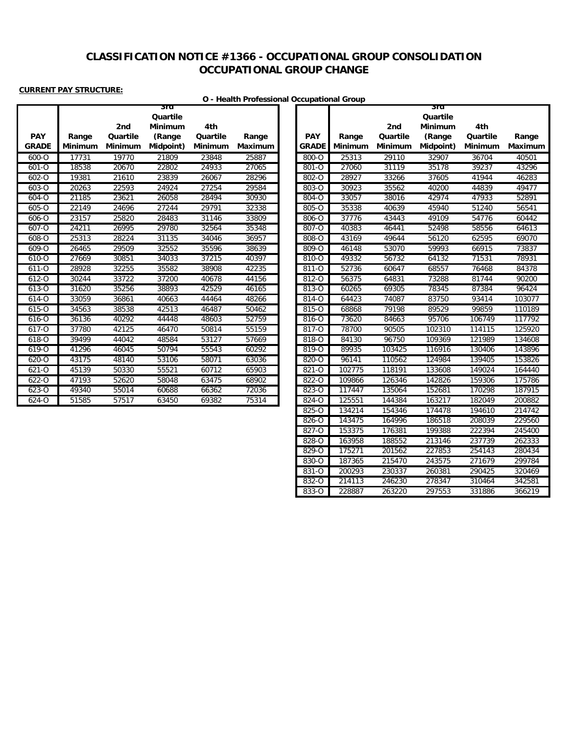# **CLASSIFICATION NOTICE #1366 - OCCUPATIONAL GROUP CONSOLIDATION OCCUPATIONAL GROUP CHANGE**

### **CURRENT PAY STRUCTURE:**

÷

п

# **O - Health Professional Occupational Group**

|                            |                         | 2nd                 | Quartile<br><b>Minimum</b> | 4th                 |                  |                              |                         | 2nd                 | Quartile<br><b>Minimum</b> | 4th                        |                 |
|----------------------------|-------------------------|---------------------|----------------------------|---------------------|------------------|------------------------------|-------------------------|---------------------|----------------------------|----------------------------|-----------------|
| <b>PAY</b><br><b>GRADE</b> | Range<br><b>Minimum</b> | Quartile<br>Minimum | (Range<br>Midpoint)        | Quartile<br>Minimum | Range<br>Maximum | <b>PAY</b><br><b>GRADE I</b> | Range<br><b>Minimum</b> | Quartile<br>Minimum | (Range<br>Midpoint)        | Quartile<br><b>Minimum</b> | Range<br>Maximu |
| 600-O                      | 17731                   | 19770               | 21809                      | 23848               | 25887            | 800-O                        | 25313                   | 29110               | 32907                      | 36704                      | 40501           |
| $601 - 0$                  | 18538                   | 20670               | 22802                      | 24933               | 27065            | 801-O                        | 27060                   | 31119               | 35178                      | 39237                      | 43296           |
| 602-0                      | 19381                   | 21610               | 23839                      | 26067               | 28296            | 802-0                        | 28927                   | 33266               | 37605                      | 41944                      | 46283           |
| $603 - 0$                  | 20263                   | 22593               | 24924                      | 27254               | 29584            | $803 - 0$                    | 30923                   | 35562               | 40200                      | 44839                      | 49477           |
| 604-O                      | 21185                   | 23621               | 26058                      | 28494               | 30930            | 804-O                        | 33057                   | 38016               | 42974                      | 47933                      | 52891           |
| $605 - 0$                  | 22149                   | 24696               | 27244                      | 29791               | 32338            | 805-O                        | 35338                   | 40639               | 45940                      | 51240                      | 56541           |
| 606-O                      | 23157                   | 25820               | 28483                      | 31146               | 33809            | 806-O                        | 37776                   | 43443               | 49109                      | 54776                      | 60442           |
| 607-O                      | 24211                   | 26995               | 29780                      | 32564               | 35348            | 807-O                        | 40383                   | 46441               | 52498                      | 58556                      | 64613           |
| 608-O                      | 25313                   | 28224               | 31135                      | 34046               | 36957            | 808-Q                        | 43169                   | 49644               | 56120                      | 62595                      | 69070           |
| 609-O                      | 26465                   | 29509               | 32552                      | 35596               | 38639            | 809-Q                        | 46148                   | 53070               | 59993                      | 66915                      | 73837           |
| $610 - 0$                  | 27669                   | 30851               | 34033                      | 37215               | 40397            | 810-Q                        | 49332                   | 56732               | 64132                      | 71531                      | 78931           |
| $611 - 0$                  | 28928                   | 32255               | 35582                      | 38908               | 42235            | 811-0                        | 52736                   | 60647               | 68557                      | 76468                      | 84378           |
| $612 - 0$                  | 30244                   | 33722               | 37200                      | 40678               | 44156            | 812-0                        | 56375                   | 64831               | 73288                      | 81744                      | 90200           |
| 613-0                      | 31620                   | 35256               | 38893                      | 42529               | 46165            | 813-0                        | 60265                   | 69305               | 78345                      | 87384                      | 96424           |
| 614-O                      | 33059                   | 36861               | 40663                      | 44464               | 48266            | 814-O                        | 64423                   | 74087               | 83750                      | 93414                      | 103077          |
| 615-0                      | 34563                   | 38538               | 42513                      | 46487               | 50462            | 815-O                        | 68868                   | 79198               | 89529                      | 99859                      | 110189          |
| 616-O                      | 36136                   | 40292               | 44448                      | 48603               | 52759            | 816-O                        | 73620                   | 84663               | 95706                      | 106749                     | 117792          |
| 617-O                      | 37780                   | 42125               | 46470                      | 50814               | 55159            | 817-0                        | 78700                   | 90505               | 102310                     | 114115                     | 125920          |
| 618-Q                      | 39499                   | 44042               | 48584                      | 53127               | 57669            | 818-O                        | 84130                   | 96750               | 109369                     | 121989                     | 134608          |
| $619 - 0$                  | 41296                   | 46045               | 50794                      | 55543               | 60292            | 819-Q                        | 89935                   | 103425              | 116916                     | 130406                     | 143896          |
| 620-O                      | 43175                   | 48140               | 53106                      | 58071               | 63036            | 820-O                        | 96141                   | 110562              | 124984                     | 139405                     | 153826          |
| $621 - 0$                  | 45139                   | 50330               | 55521                      | 60712               | 65903            | 821-0                        | 102775                  | 118191              | 133608                     | 149024                     | 164440          |
| 622-0                      | 47193                   | 52620               | 58048                      | 63475               | 68902            | 822-0                        | 109866                  | 126346              | 142826                     | 159306                     | 175786          |
| $623 - 0$                  | 49340                   | 55014               | 60688                      | 66362               | 72036            | $823 - 0$                    | 117447                  | 135064              | 152681                     | 170298                     | 187915          |
| 624-O                      | 51585                   | 57517               | 63450                      | 69382               | 75314            | 824-O                        | 125551                  | 144384              | 163217                     | 182049                     | 200882          |

**3rd** 

|              |         |                | sra            |          |                |
|--------------|---------|----------------|----------------|----------|----------------|
|              |         |                | Quartile       |          |                |
|              |         | 2nd            | <b>Minimum</b> | 4th      |                |
| <b>PAY</b>   | Range   | Quartile       | (Range         | Quartile | Range          |
| <b>GRADE</b> | Minimum | <b>Minimum</b> | Midpoint)      | Minimum  | <b>Maximum</b> |
| $800 - 0$    | 25313   | 29110          | 32907          | 36704    | 40501          |
| 801-0        | 27060   | 31119          | 35178          | 39237    | 43296          |
| $802 - 0$    | 28927   | 33266          | 37605          | 41944    | 46283          |
| $803 - 0$    | 30923   | 35562          | 40200          | 44839    | 49477          |
| $804 - 0$    | 33057   | 38016          | 42974          | 47933    | 52891          |
| $805 - 0$    | 35338   | 40639          | 45940          | 51240    | 56541          |
| $806 - 0$    | 37776   | 43443          | 49109          | 54776    | 60442          |
| $807 - 0$    | 40383   | 46441          | 52498          | 58556    | 64613          |
| 808-0        | 43169   | 49644          | 56120          | 62595    | 69070          |
| 809-O        | 46148   | 53070          | 59993          | 66915    | 73837          |
| $810 - 0$    | 49332   | 56732          | 64132          | 71531    | 78931          |
| $811 - 0$    | 52736   | 60647          | 68557          | 76468    | 84378          |
| 812-0        | 56375   | 64831          | 73288          | 81744    | 90200          |
| 813-0        | 60265   | 69305          | 78345          | 87384    | 96424          |
| 814-O        | 64423   | 74087          | 83750          | 93414    | 103077         |
| 815-O        | 68868   | 79198          | 89529          | 99859    | 110189         |
| $816 - 0$    | 73620   | 84663          | 95706          | 106749   | 117792         |
| 817-O        | 78700   | 90505          | 102310         | 114115   | 125920         |
| $818 - 0$    | 84130   | 96750          | 109369         | 121989   | 134608         |
| $819 - 0$    | 89935   | 103425         | 116916         | 130406   | 143896         |
| $820 - 0$    | 96141   | 110562         | 124984         | 139405   | 153826         |
| $821 - 0$    | 102775  | 118191         | 133608         | 149024   | 164440         |
| $822 - 0$    | 109866  | 126346         | 142826         | 159306   | 175786         |
| $823 - 0$    | 117447  | 135064         | 152681         | 170298   | 187915         |
| $824 - 0$    | 125551  | 144384         | 163217         | 182049   | 200882         |
| 825-0        | 134214  | 154346         | 174478         | 194610   | 214742         |
| 826-0        | 143475  | 164996         | 186518         | 208039   | 229560         |
| 827-0        | 153375  | 176381         | 199388         | 222394   | 245400         |
| 828-0        | 163958  | 188552         | 213146         | 237739   | 262333         |
| $829 - 0$    | 175271  | 201562         | 227853         | 254143   | 280434         |
| 830-0        | 187365  | 215470         | 243575         | 271679   | 299784         |
| $831 - 0$    | 200293  | 230337         | 260381         | 290425   | 320469         |
| $832 - 0$    | 214113  | 246230         | 278347         | 310464   | 342581         |
| 833-0        | 228887  | 263220         | 297553         | 331886   | 366219         |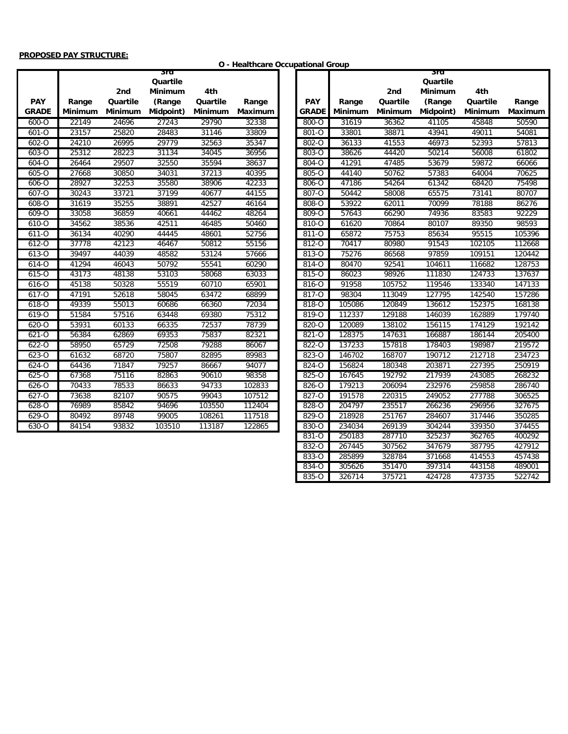#### **PROPOSED PAY STRUCTURE:**

#### **O - Healthcare Occupational Group**

|              |                |          | sra            |                |         |              |                |          | 3ra            |          |        |
|--------------|----------------|----------|----------------|----------------|---------|--------------|----------------|----------|----------------|----------|--------|
|              |                |          | Quartile       |                |         |              |                |          | Quartile       |          |        |
|              |                | 2nd      | <b>Minimum</b> | 4th            |         |              |                | 2nd      | <b>Minimum</b> | 4th      |        |
| <b>PAY</b>   | Range          | Quartile | (Range         | Quartile       | Range   | <b>PAY</b>   | Range          | Quartile | (Range         | Quartile | Range  |
| <b>GRADE</b> | <b>Minimum</b> | Minimum  | Midpoint)      | <b>Minimum</b> | Maximum | <b>GRADE</b> | <b>Minimum</b> | Minimum  | Midpoint)      | Minimum  | Maximu |
| $600 - 0$    | 22149          | 24696    | 27243          | 29790          | 32338   | $800 - 0$    | 31619          | 36362    | 41105          | 45848    | 50590  |
| $601 - 0$    | 23157          | 25820    | 28483          | 31146          | 33809   | 801-Q        | 33801          | 38871    | 43941          | 49011    | 54081  |
| $602 - 0$    | 24210          | 26995    | 29779          | 32563          | 35347   | $802 - 0$    | 36133          | 41553    | 46973          | 52393    | 57813  |
| $603 - 0$    | 25312          | 28223    | 31134          | 34045          | 36956   | 803-O        | 38626          | 44420    | 50214          | 56008    | 61802  |
| $604 - 0$    | 26464          | 29507    | 32550          | 35594          | 38637   | $804 - 0$    | 41291          | 47485    | 53679          | 59872    | 66066  |
| 605-O        | 27668          | 30850    | 34031          | 37213          | 40395   | 805-O        | 44140          | 50762    | 57383          | 64004    | 70625  |
| 606-O        | 28927          | 32253    | 35580          | 38906          | 42233   | 806-O        | 47186          | 54264    | 61342          | 68420    | 75498  |
| $607 - 0$    | 30243          | 33721    | 37199          | 40677          | 44155   | 807-O        | 50442          | 58008    | 65575          | 73141    | 80707  |
| $608 - 0$    | 31619          | 35255    | 38891          | 42527          | 46164   | 808-0        | 53922          | 62011    | 70099          | 78188    | 86276  |
| $609 - 0$    | 33058          | 36859    | 40661          | 44462          | 48264   | $809 - 0$    | 57643          | 66290    | 74936          | 83583    | 92229  |
| 610-O        | 34562          | 38536    | 42511          | 46485          | 50460   | 810-0        | 61620          | 70864    | 80107          | 89350    | 98593  |
| 611-0        | 36134          | 40290    | 44445          | 48601          | 52756   | 811-0        | 65872          | 75753    | 85634          | 95515    | 105396 |
| $612 - 0$    | 37778          | 42123    | 46467          | 50812          | 55156   | 812-0        | 70417          | 80980    | 91543          | 102105   | 112668 |
| 613-0        | 39497          | 44039    | 48582          | 53124          | 57666   | 813-0        | 75276          | 86568    | 97859          | 109151   | 120442 |
| 614-O        | 41294          | 46043    | 50792          | 55541          | 60290   | 814-O        | 80470          | 92541    | 104611         | 116682   | 128753 |
| $615 - 0$    | 43173          | 48138    | 53103          | 58068          | 63033   | 815-0        | 86023          | 98926    | 111830         | 124733   | 137637 |
| 616-O        | 45138          | 50328    | 55519          | 60710          | 65901   | 816-O        | 91958          | 105752   | 119546         | 133340   | 147133 |
| $617 - 0$    | 47191          | 52618    | 58045          | 63472          | 68899   | 817-0        | 98304          | 113049   | 127795         | 142540   | 157286 |
| $618 - 0$    | 49339          | 55013    | 60686          | 66360          | 72034   | 818-0        | 105086         | 120849   | 136612         | 152375   | 168138 |
| $619 - 0$    | 51584          | 57516    | 63448          | 69380          | 75312   | 819-0        | 112337         | 129188   | 146039         | 162889   | 179740 |
| 620-0        | 53931          | 60133    | 66335          | 72537          | 78739   | 820-0        | 120089         | 138102   | 156115         | 174129   | 192142 |
| 621-0        | 56384          | 62869    | 69353          | 75837          | 82321   | 821-0        | 128375         | 147631   | 166887         | 186144   | 205400 |
| $622 - 0$    | 58950          | 65729    | 72508          | 79288          | 86067   | $822 - 0$    | 137233         | 157818   | 178403         | 198987   | 219572 |
| $623 - 0$    | 61632          | 68720    | 75807          | 82895          | 89983   | $823 - 0$    | 146702         | 168707   | 190712         | 212718   | 234723 |
| $624 - 0$    | 64436          | 71847    | 79257          | 86667          | 94077   | $824 - 0$    | 156824         | 180348   | 203871         | 227395   | 250919 |
| $625 - 0$    | 67368          | 75116    | 82863          | 90610          | 98358   | 825-O        | 167645         | 192792   | 217939         | 243085   | 268232 |
| $626 - 0$    | 70433          | 78533    | 86633          | 94733          | 102833  | 826-0        | 179213         | 206094   | 232976         | 259858   | 286740 |
| $627 - 0$    | 73638          | 82107    | 90575          | 99043          | 107512  | 827-O        | 191578         | 220315   | 249052         | 277788   | 306525 |
| $628 - 0$    | 76989          | 85842    | 94696          | 103550         | 112404  | $828 - 0$    | 204797         | 235517   | 266236         | 296956   | 327675 |
| $629 - 0$    | 80492          | 89748    | 99005          | 108261         | 117518  | 829-0        | 218928         | 251767   | 284607         | 317446   | 350285 |
| 630-O        | 84154          | 93832    | 103510         | 113187         | 122865  | 830-O        | 234034         | 269139   | 304244         | 339350   | 374455 |
|              |                |          |                |                |         |              |                |          |                |          |        |

|              |                |                | 3ra            |                |                |
|--------------|----------------|----------------|----------------|----------------|----------------|
|              |                |                | Quartile       |                |                |
|              |                | 2nd            | <b>Minimum</b> | 4th            |                |
| <b>PAY</b>   | Range          | Quartile       | (Range         | Quartile       | Range          |
| <b>GRADE</b> | <b>Minimum</b> | <b>Minimum</b> | Midpoint)      | <b>Minimum</b> | <b>Maximum</b> |
| 800-O        | 31619          | 36362          | 41105          | 45848          | 50590          |
| 801-0        | 33801          | 38871          | 43941          | 49011          | 54081          |
| $802 - 0$    | 36133          | 41553          | 46973          | 52393          | 57813          |
| $803 - 0$    | 38626          | 44420          | 50214          | 56008          | 61802          |
| 804-O        | 41291          | 47485          | 53679          | 59872          | 66066          |
| 805-O        | 44140          | 50762          | 57383          | 64004          | 70625          |
| 806-O        | 47186          | 54264          | 61342          | 68420          | 75498          |
| 807-O        | 50442          | 58008          | 65575          | 73141          | 80707          |
| 808-O        | 53922          | 62011          | 70099          | 78188          | 86276          |
| 809-O        | 57643          | 66290          | 74936          | 83583          | 92229          |
| 810-0        | 61620          | 70864          | 80107          | 89350          | 98593          |
| 811-0        | 65872          | 75753          | 85634          | 95515          | 105396         |
| $812 - 0$    | 70417          | 80980          | 91543          | 102105         | 112668         |
| 813-0        | 75276          | 86568          | 97859          | 109151         | 120442         |
| 814-O        | 80470          | 92541          | 104611         | 116682         | 128753         |
| 815-0        | 86023          | 98926          | 111830         | 124733         | 137637         |
| 816-0        | 91958          | 105752         | 119546         | 133340         | 147133         |
| 817-0        | 98304          | 113049         | 127795         | 142540         | 157286         |
| 818-0        | 105086         | 120849         | 136612         | 152375         | 168138         |
| 819-0        | 112337         | 129188         | 146039         | 162889         | 179740         |
| 820-0        | 120089         | 138102         | 156115         | 174129         | 192142         |
| 821-0        | 128375         | 147631         | 166887         | 186144         | 205400         |
| 822-0        | 137233         | 157818         | 178403         | 198987         | 219572         |
| 823-0        | 146702         | 168707         | 190712         | 212718         | 234723         |
| 824-O        | 156824         | 180348         | 203871         | 227395         | 250919         |
| $825 - 0$    | 167645         | 192792         | 217939         | 243085         | 268232         |
| 826-0        | 179213         | 206094         | 232976         | 259858         | 286740         |
| 827-0        | 191578         | 220315         | 249052         | 277788         | 306525         |
| $828 - 0$    | 204797         | 235517         | 266236         | 296956         | 327675         |
| 829-0        | 218928         | 251767         | 284607         | 317446         | 350285         |
| 830-0        | 234034         | 269139         | 304244         | 339350         | 374455         |
| $831 - 0$    | 250183         | 287710         | 325237         | 362765         | 400292         |
| $832 - 0$    | 267445         | 307562         | 347679         | 387795         | 427912         |
| 833-0        | 285899         | 328784         | 371668         | 414553         | 457438         |
| 834-O        | 305626         | 351470         | 397314         | 443158         | 489001         |
| 835-0        | 326714         | 375721         | 424728         | 473735         | 522742         |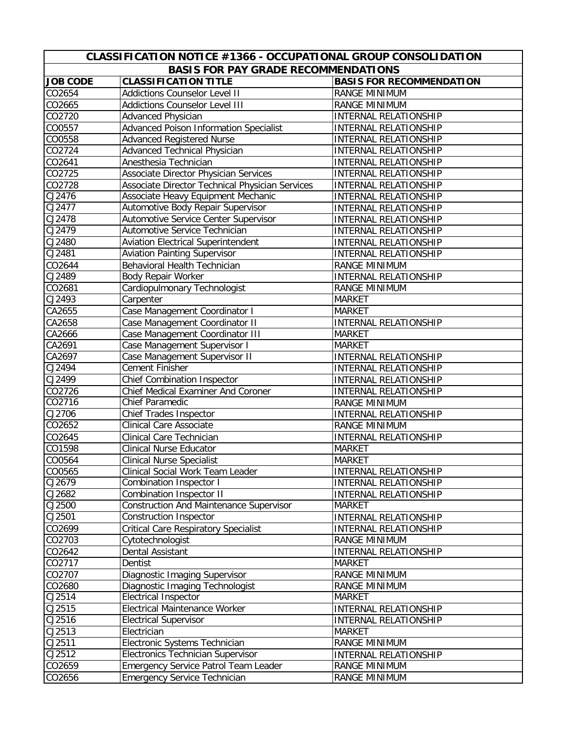| CLASSIFICATION NOTICE #1366 - OCCUPATIONAL GROUP CONSOLIDATION |                                                 |                                 |  |  |  |
|----------------------------------------------------------------|-------------------------------------------------|---------------------------------|--|--|--|
| <b>BASIS FOR PAY GRADE RECOMMENDATIONS</b>                     |                                                 |                                 |  |  |  |
| <b>JOB CODE</b>                                                | <b>CLASSIFICATION TITLE</b>                     | <b>BASIS FOR RECOMMENDATION</b> |  |  |  |
| CO2654                                                         | <b>Addictions Counselor Level II</b>            | RANGE MINIMUM                   |  |  |  |
| CO2665                                                         | <b>Addictions Counselor Level III</b>           | RANGE MINIMUM                   |  |  |  |
| CO2720                                                         | Advanced Physician                              | INTERNAL RELATIONSHIP           |  |  |  |
| CO0557                                                         | <b>Advanced Poison Information Specialist</b>   | INTERNAL RELATIONSHIP           |  |  |  |
| CO0558                                                         | <b>Advanced Registered Nurse</b>                | INTERNAL RELATIONSHIP           |  |  |  |
| CO2724                                                         | Advanced Technical Physician                    | INTERNAL RELATIONSHIP           |  |  |  |
| CO2641                                                         | Anesthesia Technician                           | INTERNAL RELATIONSHIP           |  |  |  |
| CO2725                                                         | Associate Director Physician Services           | INTERNAL RELATIONSHIP           |  |  |  |
| CO2728                                                         | Associate Director Technical Physician Services | INTERNAL RELATIONSHIP           |  |  |  |
| CJ2476                                                         | Associate Heavy Equipment Mechanic              | INTERNAL RELATIONSHIP           |  |  |  |
| CJ2477                                                         | Automotive Body Repair Supervisor               | <b>INTERNAL RELATIONSHIP</b>    |  |  |  |
| CJ2478                                                         | Automotive Service Center Supervisor            | <b>INTERNAL RELATIONSHIP</b>    |  |  |  |
| CJ2479                                                         | Automotive Service Technician                   | <b>INTERNAL RELATIONSHIP</b>    |  |  |  |
| CJ2480                                                         | <b>Aviation Electrical Superintendent</b>       | <b>INTERNAL RELATIONSHIP</b>    |  |  |  |
| CJ2481                                                         | <b>Aviation Painting Supervisor</b>             | INTERNAL RELATIONSHIP           |  |  |  |
| CO2644                                                         | Behavioral Health Technician                    | <b>RANGE MINIMUM</b>            |  |  |  |
| CJ2489                                                         | <b>Body Repair Worker</b>                       | <b>INTERNAL RELATIONSHIP</b>    |  |  |  |
| CO2681                                                         | Cardiopulmonary Technologist                    | <b>RANGE MINIMUM</b>            |  |  |  |
| $\overline{C}$ J2493                                           | Carpenter                                       | <b>MARKET</b>                   |  |  |  |
| CA2655                                                         | Case Management Coordinator I                   | <b>MARKET</b>                   |  |  |  |
| CA2658                                                         | Case Management Coordinator II                  | <b>INTERNAL RELATIONSHIP</b>    |  |  |  |
| CA2666                                                         | Case Management Coordinator III                 | <b>MARKET</b>                   |  |  |  |
| CA2691                                                         | Case Management Supervisor I                    | <b>MARKET</b>                   |  |  |  |
| CA2697                                                         | Case Management Supervisor II                   | INTERNAL RELATIONSHIP           |  |  |  |
| CJ2494                                                         | Cement Finisher                                 | <b>INTERNAL RELATIONSHIP</b>    |  |  |  |
| CJ2499                                                         | <b>Chief Combination Inspector</b>              | INTERNAL RELATIONSHIP           |  |  |  |
| CO2726                                                         | Chief Medical Examiner And Coroner              | INTERNAL RELATIONSHIP           |  |  |  |
| CO2716                                                         | Chief Paramedic                                 | RANGE MINIMUM                   |  |  |  |
| CJ2706                                                         | Chief Trades Inspector                          | INTERNAL RELATIONSHIP           |  |  |  |
| CO2652                                                         | <b>Clinical Care Associate</b>                  | RANGE MINIMUM                   |  |  |  |
| CO2645                                                         | Clinical Care Technician                        | <b>INTERNAL RELATIONSHIP</b>    |  |  |  |
| CO1598                                                         | <b>Clinical Nurse Educator</b>                  | <b>MARKET</b>                   |  |  |  |
| CO0564                                                         | <b>Clinical Nurse Specialist</b>                | <b>MARKET</b>                   |  |  |  |
| CO0565                                                         | Clinical Social Work Team Leader                | <b>INTERNAL RELATIONSHIP</b>    |  |  |  |
| CJ2679                                                         | <b>Combination Inspector I</b>                  | INTERNAL RELATIONSHIP           |  |  |  |
| CJ2682                                                         | <b>Combination Inspector II</b>                 | <b>INTERNAL RELATIONSHIP</b>    |  |  |  |
| CJ2500                                                         | <b>Construction And Maintenance Supervisor</b>  | <b>MARKET</b>                   |  |  |  |
| CJ2501                                                         | <b>Construction Inspector</b>                   | INTERNAL RELATIONSHIP           |  |  |  |
| CO2699                                                         | <b>Critical Care Respiratory Specialist</b>     | <b>INTERNAL RELATIONSHIP</b>    |  |  |  |
| CO2703                                                         | Cytotechnologist                                | <b>RANGE MINIMUM</b>            |  |  |  |
| CO2642                                                         | Dental Assistant                                | INTERNAL RELATIONSHIP           |  |  |  |
| CO2717                                                         | Dentist                                         | <b>MARKET</b>                   |  |  |  |
| CO2707                                                         | Diagnostic Imaging Supervisor                   | RANGE MINIMUM                   |  |  |  |
| CO2680                                                         | Diagnostic Imaging Technologist                 | <b>RANGE MINIMUM</b>            |  |  |  |
| CJ2514                                                         | <b>Electrical Inspector</b>                     | <b>MARKET</b>                   |  |  |  |
| CJ2515                                                         | <b>Electrical Maintenance Worker</b>            | INTERNAL RELATIONSHIP           |  |  |  |
| CJ2516                                                         | <b>Electrical Supervisor</b>                    | INTERNAL RELATIONSHIP           |  |  |  |
| CJ2513                                                         | Electrician                                     | <b>MARKET</b>                   |  |  |  |
| CJ2511                                                         | Electronic Systems Technician                   | <b>RANGE MINIMUM</b>            |  |  |  |
| CJ2512                                                         | Electronics Technician Supervisor               | <b>INTERNAL RELATIONSHIP</b>    |  |  |  |
| CO2659                                                         | <b>Emergency Service Patrol Team Leader</b>     | RANGE MINIMUM                   |  |  |  |
| CO2656                                                         | Emergency Service Technician                    | RANGE MINIMUM                   |  |  |  |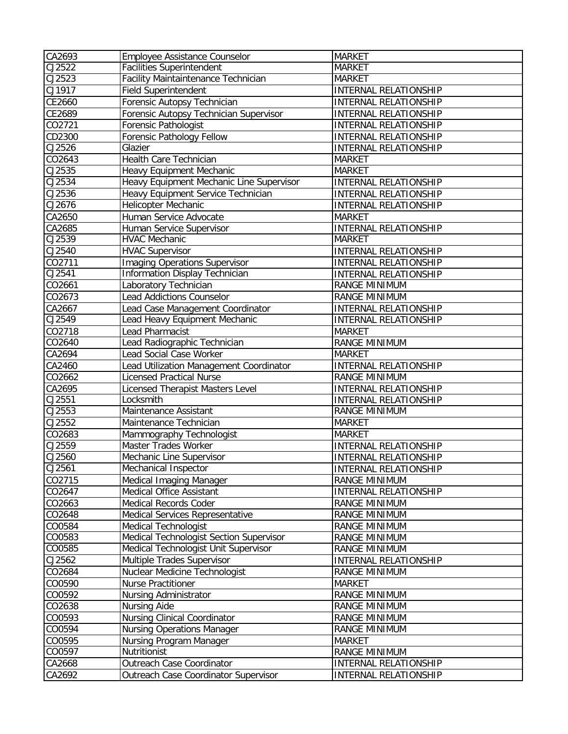| CA2693           | Employee Assistance Counselor                    | <b>MARKET</b>                |
|------------------|--------------------------------------------------|------------------------------|
| CJ2522           | <b>Facilities Superintendent</b>                 | <b>MARKET</b>                |
| CJ2523           | Facility Maintaintenance Technician              | <b>MARKET</b>                |
| CJ1917           | <b>Field Superintendent</b>                      | INTERNAL RELATIONSHIP        |
| CE2660           | Forensic Autopsy Technician                      | <b>INTERNAL RELATIONSHIP</b> |
| CE2689           | Forensic Autopsy Technician Supervisor           | INTERNAL RELATIONSHIP        |
| CO2721           | Forensic Pathologist                             | INTERNAL RELATIONSHIP        |
| CD2300           | Forensic Pathology Fellow                        | INTERNAL RELATIONSHIP        |
| CJ2526           | Glazier                                          | INTERNAL RELATIONSHIP        |
| CO2643           | Health Care Technician                           | <b>MARKET</b>                |
| CJ2535           | Heavy Equipment Mechanic                         | <b>MARKET</b>                |
| CJ2534           | Heavy Equipment Mechanic Line Supervisor         | INTERNAL RELATIONSHIP        |
| CJ2536           | Heavy Equipment Service Technician               | INTERNAL RELATIONSHIP        |
| CJ2676           | Helicopter Mechanic                              | INTERNAL RELATIONSHIP        |
| CA2650           | Human Service Advocate                           | <b>MARKET</b>                |
| CA2685           | Human Service Supervisor                         | INTERNAL RELATIONSHIP        |
| CJ2539           | <b>HVAC Mechanic</b>                             | <b>MARKET</b>                |
| CJ2540           | <b>HVAC Supervisor</b>                           | INTERNAL RELATIONSHIP        |
| CO2711           | Imaging Operations Supervisor                    | <b>INTERNAL RELATIONSHIP</b> |
| CJ2541           | Information Display Technician                   | INTERNAL RELATIONSHIP        |
| CO2661           | Laboratory Technician                            | <b>RANGE MINIMUM</b>         |
| CO2673           | <b>Lead Addictions Counselor</b>                 | <b>RANGE MINIMUM</b>         |
| CA2667           | Lead Case Management Coordinator                 | INTERNAL RELATIONSHIP        |
| CJ2549           | Lead Heavy Equipment Mechanic                    | <b>INTERNAL RELATIONSHIP</b> |
| CO2718           | Lead Pharmacist                                  | <b>MARKET</b>                |
| CO2640           | Lead Radiographic Technician                     | RANGE MINIMUM                |
| CA2694           | Lead Social Case Worker                          | <b>MARKET</b>                |
| CA2460           | Lead Utilization Management Coordinator          | <b>INTERNAL RELATIONSHIP</b> |
| CO2662           | <b>Licensed Practical Nurse</b>                  | <b>RANGE MINIMUM</b>         |
| CA2695           |                                                  | <b>INTERNAL RELATIONSHIP</b> |
| CJ2551           | Licensed Therapist Masters Level<br>Locksmith    | <b>INTERNAL RELATIONSHIP</b> |
| CJ2553           | Maintenance Assistant                            | <b>RANGE MINIMUM</b>         |
| CJ2552           | Maintenance Technician                           | <b>MARKET</b>                |
|                  |                                                  |                              |
| CO2683<br>CJ2559 | Mammography Technologist<br>Master Trades Worker | <b>MARKET</b>                |
|                  |                                                  | INTERNAL RELATIONSHIP        |
| CJ2560<br>CJ2561 | Mechanic Line Supervisor                         | INTERNAL RELATIONSHIP        |
|                  | Mechanical Inspector                             | <b>INTERNAL RELATIONSHIP</b> |
| CO2715           | Medical Imaging Manager                          | RANGE MINIMUM                |
| CO2647           | <b>Medical Office Assistant</b>                  | INTERNAL RELATIONSHIP        |
| CO2663           | Medical Records Coder                            | RANGE MINIMUM                |
| CO2648           | Medical Services Representative                  | RANGE MINIMUM                |
| CO0584           | <b>Medical Technologist</b>                      | RANGE MINIMUM                |
| CO0583           | Medical Technologist Section Supervisor          | RANGE MINIMUM                |
| CO0585           | Medical Technologist Unit Supervisor             | RANGE MINIMUM                |
| CJ2562           | Multiple Trades Supervisor                       | <b>INTERNAL RELATIONSHIP</b> |
| CO2684           | Nuclear Medicine Technologist                    | <b>RANGE MINIMUM</b>         |
| CO0590           | Nurse Practitioner                               | <b>MARKET</b>                |
| CO0592           | Nursing Administrator                            | RANGE MINIMUM                |
| CO2638           | <b>Nursing Aide</b>                              | RANGE MINIMUM                |
| CO0593           | <b>Nursing Clinical Coordinator</b>              | <b>RANGE MINIMUM</b>         |
| CO0594           | <b>Nursing Operations Manager</b>                | RANGE MINIMUM                |
| CO0595           | Nursing Program Manager                          | <b>MARKET</b>                |
| CO0597           | Nutritionist                                     | RANGE MINIMUM                |
| CA2668           | Outreach Case Coordinator                        | INTERNAL RELATIONSHIP        |
| CA2692           | Outreach Case Coordinator Supervisor             | INTERNAL RELATIONSHIP        |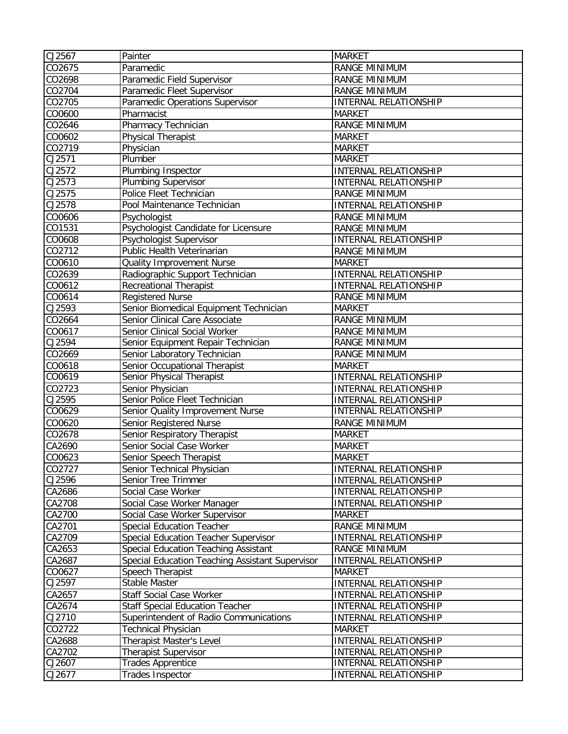| CJ2567 | Painter                                         | <b>MARKET</b>                |
|--------|-------------------------------------------------|------------------------------|
| CO2675 | Paramedic                                       | <b>RANGE MINIMUM</b>         |
| CO2698 | Paramedic Field Supervisor                      | RANGE MINIMUM                |
| CO2704 | Paramedic Fleet Supervisor                      | RANGE MINIMUM                |
| CO2705 | Paramedic Operations Supervisor                 | <b>INTERNAL RELATIONSHIP</b> |
| CO0600 | Pharmacist                                      | <b>MARKET</b>                |
| CO2646 | Pharmacy Technician                             | <b>RANGE MINIMUM</b>         |
| CO0602 | Physical Therapist                              | <b>MARKET</b>                |
| CO2719 | Physician                                       | <b>MARKET</b>                |
| CJ2571 | Plumber                                         | <b>MARKET</b>                |
| CJ2572 | Plumbing Inspector                              | <b>INTERNAL RELATIONSHIP</b> |
| CJ2573 | <b>Plumbing Supervisor</b>                      | <b>INTERNAL RELATIONSHIP</b> |
| CJ2575 | Police Fleet Technician                         | <b>RANGE MINIMUM</b>         |
| CJ2578 | Pool Maintenance Technician                     | <b>INTERNAL RELATIONSHIP</b> |
| CO0606 | Psychologist                                    | <b>RANGE MINIMUM</b>         |
| CO1531 | Psychologist Candidate for Licensure            | <b>RANGE MINIMUM</b>         |
| CO0608 | Psychologist Supervisor                         | <b>INTERNAL RELATIONSHIP</b> |
| CO2712 | Public Health Veterinarian                      | RANGE MINIMUM                |
| CO0610 | Quality Improvement Nurse                       | <b>MARKET</b>                |
| CO2639 | Radiographic Support Technician                 | INTERNAL RELATIONSHIP        |
| CO0612 | Recreational Therapist                          | <b>INTERNAL RELATIONSHIP</b> |
| CO0614 | <b>Registered Nurse</b>                         | RANGE MINIMUM                |
| CJ2593 | Senior Biomedical Equipment Technician          | <b>MARKET</b>                |
| CO2664 | Senior Clinical Care Associate                  | <b>RANGE MINIMUM</b>         |
| CO0617 | Senior Clinical Social Worker                   | RANGE MINIMUM                |
| CJ2594 | Senior Equipment Repair Technician              | <b>RANGE MINIMUM</b>         |
| CO2669 | Senior Laboratory Technician                    | <b>RANGE MINIMUM</b>         |
| CO0618 | Senior Occupational Therapist                   | <b>MARKET</b>                |
| CO0619 | Senior Physical Therapist                       | INTERNAL RELATIONSHIP        |
| CO2723 | Senior Physician                                | <b>INTERNAL RELATIONSHIP</b> |
| CJ2595 | Senior Police Fleet Technician                  | <b>INTERNAL RELATIONSHIP</b> |
| CO0629 | Senior Quality Improvement Nurse                | <b>INTERNAL RELATIONSHIP</b> |
| CO0620 | Senior Registered Nurse                         | RANGE MINIMUM                |
| CO2678 | Senior Respiratory Therapist                    | <b>MARKET</b>                |
| CA2690 | Senior Social Case Worker                       | <b>MARKET</b>                |
| CO0623 | Senior Speech Therapist                         | <b>MARKET</b>                |
| CO2727 | Senior Technical Physician                      | INTERNAL RELATIONSHIP        |
| CJ2596 | Senior Tree Trimmer                             | INTERNAL RELATIONSHIP        |
| CA2686 | Social Case Worker                              | INTERNAL RELATIONSHIP        |
| CA2708 | Social Case Worker Manager                      | <b>INTERNAL RELATIONSHIP</b> |
| CA2700 | Social Case Worker Supervisor                   | <b>MARKET</b>                |
| CA2701 | <b>Special Education Teacher</b>                | RANGE MINIMUM                |
| CA2709 | Special Education Teacher Supervisor            | INTERNAL RELATIONSHIP        |
| CA2653 | Special Education Teaching Assistant            | <b>RANGE MINIMUM</b>         |
| CA2687 | Special Education Teaching Assistant Supervisor | <b>INTERNAL RELATIONSHIP</b> |
| CO0627 | Speech Therapist                                | <b>MARKET</b>                |
| CJ2597 | <b>Stable Master</b>                            | INTERNAL RELATIONSHIP        |
| CA2657 | Staff Social Case Worker                        | <b>INTERNAL RELATIONSHIP</b> |
| CA2674 | <b>Staff Special Education Teacher</b>          | INTERNAL RELATIONSHIP        |
| CJ2710 | Superintendent of Radio Communications          | INTERNAL RELATIONSHIP        |
| CO2722 | Technical Physician                             | <b>MARKET</b>                |
| CA2688 | Therapist Master's Level                        | INTERNAL RELATIONSHIP        |
| CA2702 | <b>Therapist Supervisor</b>                     | INTERNAL RELATIONSHIP        |
| CJ2607 | <b>Trades Apprentice</b>                        | INTERNAL RELATIONSHIP        |
| CJ2677 | Trades Inspector                                | INTERNAL RELATIONSHIP        |